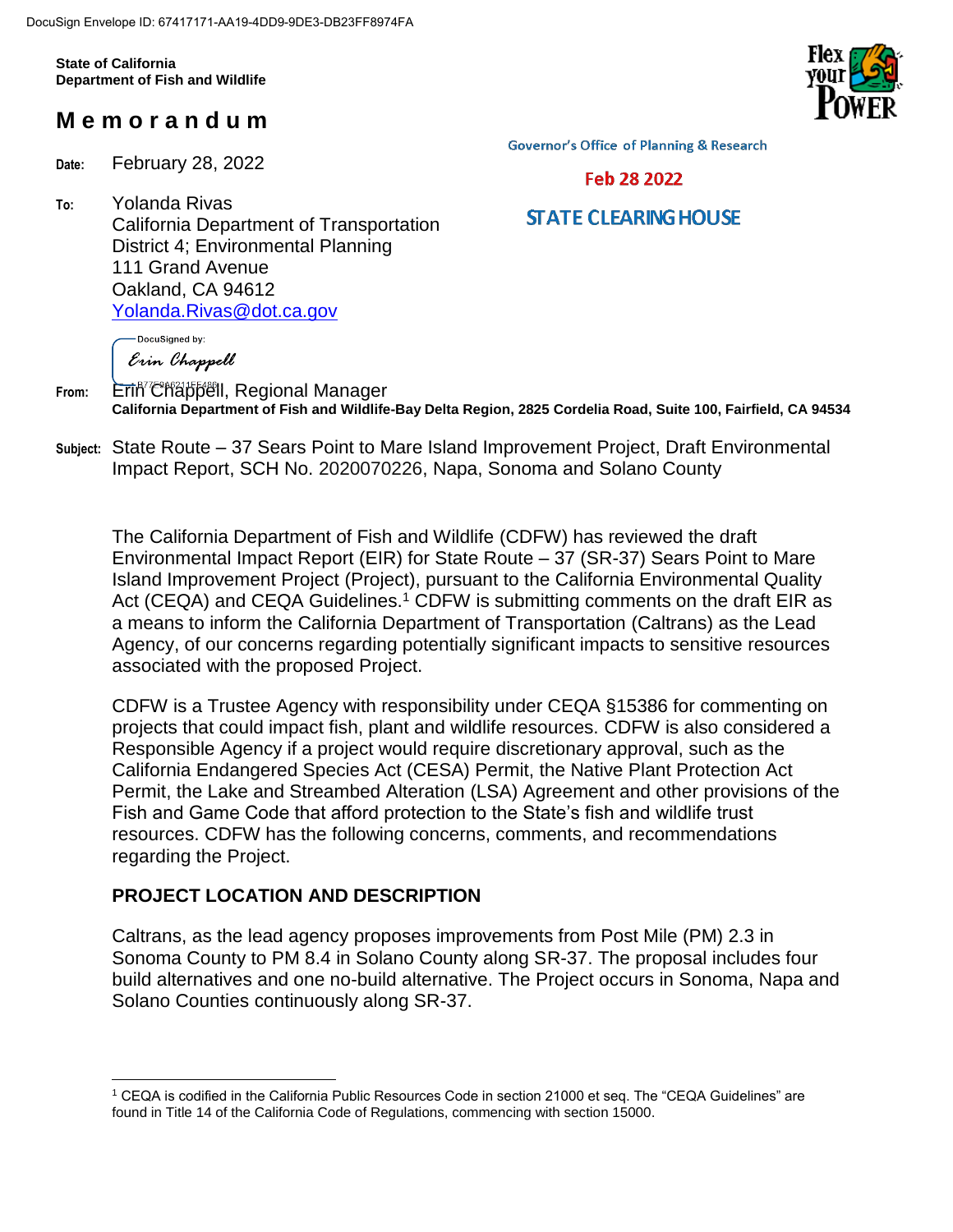**State of California Department of Fish and Wildlife**

# **M e m o r a n d u m**

**Date:** February 28, 2022

DocuSigned by:

**To:** Yolanda Rivas California Department of Transportation District 4; Environmental Planning 111 Grand Avenue Oakland, CA 94612 [Yolanda.Rivas@dot.ca.gov](mailto:Yolanda.Rivas@dot.ca.gov)

**Governor's Office of Planning & Research** 



# **STATE CLEARING HOUSE**

Erin Chappell From: Erin<sup>"</sup> Chappell, Regional Manager **California Department of Fish and Wildlife-Bay Delta Region, 2825 Cordelia Road, Suite 100, Fairfield, CA 94534**

**Subject:** State Route – 37 Sears Point to Mare Island Improvement Project, Draft Environmental Impact Report, SCH No. 2020070226, Napa, Sonoma and Solano County

The California Department of Fish and Wildlife (CDFW) has reviewed the draft Environmental Impact Report (EIR) for State Route – 37 (SR-37) Sears Point to Mare Island Improvement Project (Project), pursuant to the California Environmental Quality Act (CEQA) and CEQA Guidelines.<sup>1</sup> CDFW is submitting comments on the draft EIR as a means to inform the California Department of Transportation (Caltrans) as the Lead Agency, of our concerns regarding potentially significant impacts to sensitive resources associated with the proposed Project.

CDFW is a Trustee Agency with responsibility under CEQA §15386 for commenting on projects that could impact fish, plant and wildlife resources. CDFW is also considered a Responsible Agency if a project would require discretionary approval, such as the California Endangered Species Act (CESA) Permit, the Native Plant Protection Act Permit, the Lake and Streambed Alteration (LSA) Agreement and other provisions of the Fish and Game Code that afford protection to the State's fish and wildlife trust resources. CDFW has the following concerns, comments, and recommendations regarding the Project.

## **PROJECT LOCATION AND DESCRIPTION**

 $\overline{a}$ 

Caltrans, as the lead agency proposes improvements from Post Mile (PM) 2.3 in Sonoma County to PM 8.4 in Solano County along SR-37. The proposal includes four build alternatives and one no-build alternative. The Project occurs in Sonoma, Napa and Solano Counties continuously along SR-37.



<sup>1</sup> CEQA is codified in the California Public Resources Code in section 21000 et seq. The "CEQA Guidelines" are found in Title 14 of the California Code of Regulations, commencing with section 15000.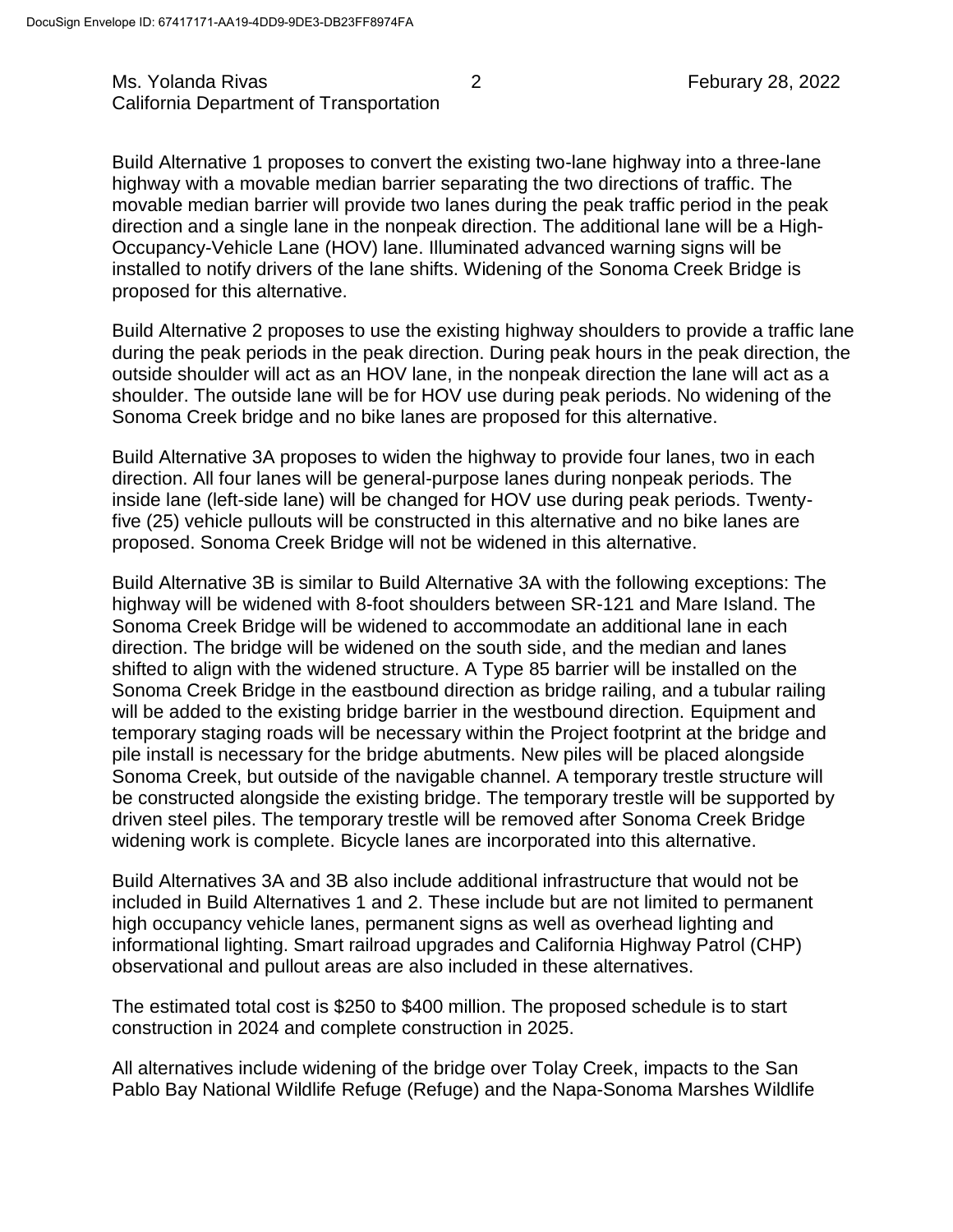## Ms. Yolanda Rivas 2 2 Feburary 28, 2022 California Department of Transportation

Build Alternative 1 proposes to convert the existing two-lane highway into a three-lane highway with a movable median barrier separating the two directions of traffic. The movable median barrier will provide two lanes during the peak traffic period in the peak direction and a single lane in the nonpeak direction. The additional lane will be a High-Occupancy-Vehicle Lane (HOV) lane. Illuminated advanced warning signs will be installed to notify drivers of the lane shifts. Widening of the Sonoma Creek Bridge is proposed for this alternative.

Build Alternative 2 proposes to use the existing highway shoulders to provide a traffic lane during the peak periods in the peak direction. During peak hours in the peak direction, the outside shoulder will act as an HOV lane, in the nonpeak direction the lane will act as a shoulder. The outside lane will be for HOV use during peak periods. No widening of the Sonoma Creek bridge and no bike lanes are proposed for this alternative.

Build Alternative 3A proposes to widen the highway to provide four lanes, two in each direction. All four lanes will be general-purpose lanes during nonpeak periods. The inside lane (left-side lane) will be changed for HOV use during peak periods. Twentyfive (25) vehicle pullouts will be constructed in this alternative and no bike lanes are proposed. Sonoma Creek Bridge will not be widened in this alternative.

Build Alternative 3B is similar to Build Alternative 3A with the following exceptions: The highway will be widened with 8-foot shoulders between SR-121 and Mare Island. The Sonoma Creek Bridge will be widened to accommodate an additional lane in each direction. The bridge will be widened on the south side, and the median and lanes shifted to align with the widened structure. A Type 85 barrier will be installed on the Sonoma Creek Bridge in the eastbound direction as bridge railing, and a tubular railing will be added to the existing bridge barrier in the westbound direction. Equipment and temporary staging roads will be necessary within the Project footprint at the bridge and pile install is necessary for the bridge abutments. New piles will be placed alongside Sonoma Creek, but outside of the navigable channel. A temporary trestle structure will be constructed alongside the existing bridge. The temporary trestle will be supported by driven steel piles. The temporary trestle will be removed after Sonoma Creek Bridge widening work is complete. Bicycle lanes are incorporated into this alternative.

Build Alternatives 3A and 3B also include additional infrastructure that would not be included in Build Alternatives 1 and 2. These include but are not limited to permanent high occupancy vehicle lanes, permanent signs as well as overhead lighting and informational lighting. Smart railroad upgrades and California Highway Patrol (CHP) observational and pullout areas are also included in these alternatives.

The estimated total cost is \$250 to \$400 million. The proposed schedule is to start construction in 2024 and complete construction in 2025.

All alternatives include widening of the bridge over Tolay Creek, impacts to the San Pablo Bay National Wildlife Refuge (Refuge) and the Napa-Sonoma Marshes Wildlife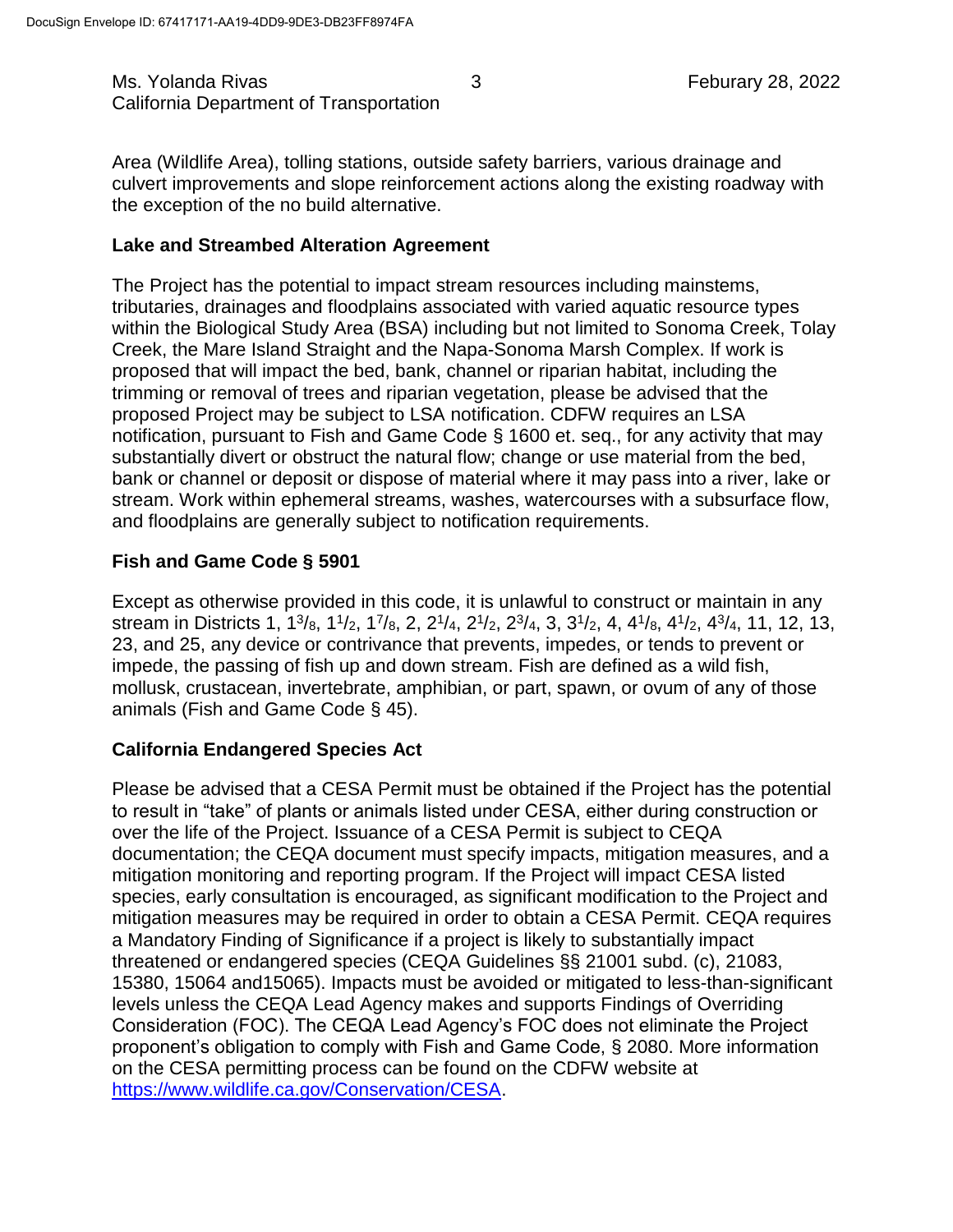Ms. Yolanda Rivas 6. November 28, 2022 and 3 Feburary 28, 2022 California Department of Transportation

Area (Wildlife Area), tolling stations, outside safety barriers, various drainage and culvert improvements and slope reinforcement actions along the existing roadway with the exception of the no build alternative.

## **Lake and Streambed Alteration Agreement**

The Project has the potential to impact stream resources including mainstems, tributaries, drainages and floodplains associated with varied aquatic resource types within the Biological Study Area (BSA) including but not limited to Sonoma Creek, Tolay Creek, the Mare Island Straight and the Napa-Sonoma Marsh Complex. If work is proposed that will impact the bed, bank, channel or riparian habitat, including the trimming or removal of trees and riparian vegetation, please be advised that the proposed Project may be subject to LSA notification. CDFW requires an LSA notification, pursuant to Fish and Game Code § 1600 et. seq., for any activity that may substantially divert or obstruct the natural flow; change or use material from the bed, bank or channel or deposit or dispose of material where it may pass into a river, lake or stream. Work within ephemeral streams, washes, watercourses with a subsurface flow, and floodplains are generally subject to notification requirements.

# **Fish and Game Code § 5901**

Except as otherwise provided in this code, it is unlawful to construct or maintain in any stream in Districts 1, 1<sup>3</sup>/<sub>8</sub>, 1<sup>1</sup>/<sub>2</sub>, 1<sup>7</sup>/<sub>8</sub>, 2, 2<sup>1</sup>/<sub>4</sub>, 2<sup>1</sup>/<sub>2</sub>, 2<sup>3</sup>/<sub>4</sub>, 3, 3<sup>1</sup>/<sub>2</sub>, 4, 4<sup>1</sup>/<sub>8</sub>, 4<sup>1</sup>/<sub>2</sub>, 4<sup>3</sup>/<sub>4</sub>, 11, 12, 13, 23, and 25, any device or contrivance that prevents, impedes, or tends to prevent or impede, the passing of fish up and down stream. Fish are defined as a wild fish, mollusk, crustacean, invertebrate, amphibian, or part, spawn, or ovum of any of those animals (Fish and Game Code § 45).

# **California Endangered Species Act**

Please be advised that a CESA Permit must be obtained if the Project has the potential to result in "take" of plants or animals listed under CESA, either during construction or over the life of the Project. Issuance of a CESA Permit is subject to CEQA documentation; the CEQA document must specify impacts, mitigation measures, and a mitigation monitoring and reporting program. If the Project will impact CESA listed species, early consultation is encouraged, as significant modification to the Project and mitigation measures may be required in order to obtain a CESA Permit. CEQA requires a Mandatory Finding of Significance if a project is likely to substantially impact threatened or endangered species (CEQA Guidelines §§ 21001 subd. (c), 21083, 15380, 15064 and15065). Impacts must be avoided or mitigated to less-than-significant levels unless the CEQA Lead Agency makes and supports Findings of Overriding Consideration (FOC). The CEQA Lead Agency's FOC does not eliminate the Project proponent's obligation to comply with Fish and Game Code, § 2080. More information on the CESA permitting process can be found on the CDFW website at [https://www.wildlife.ca.gov/Conservation/CESA.](https://www.wildlife.ca.gov/Conservation/CESA)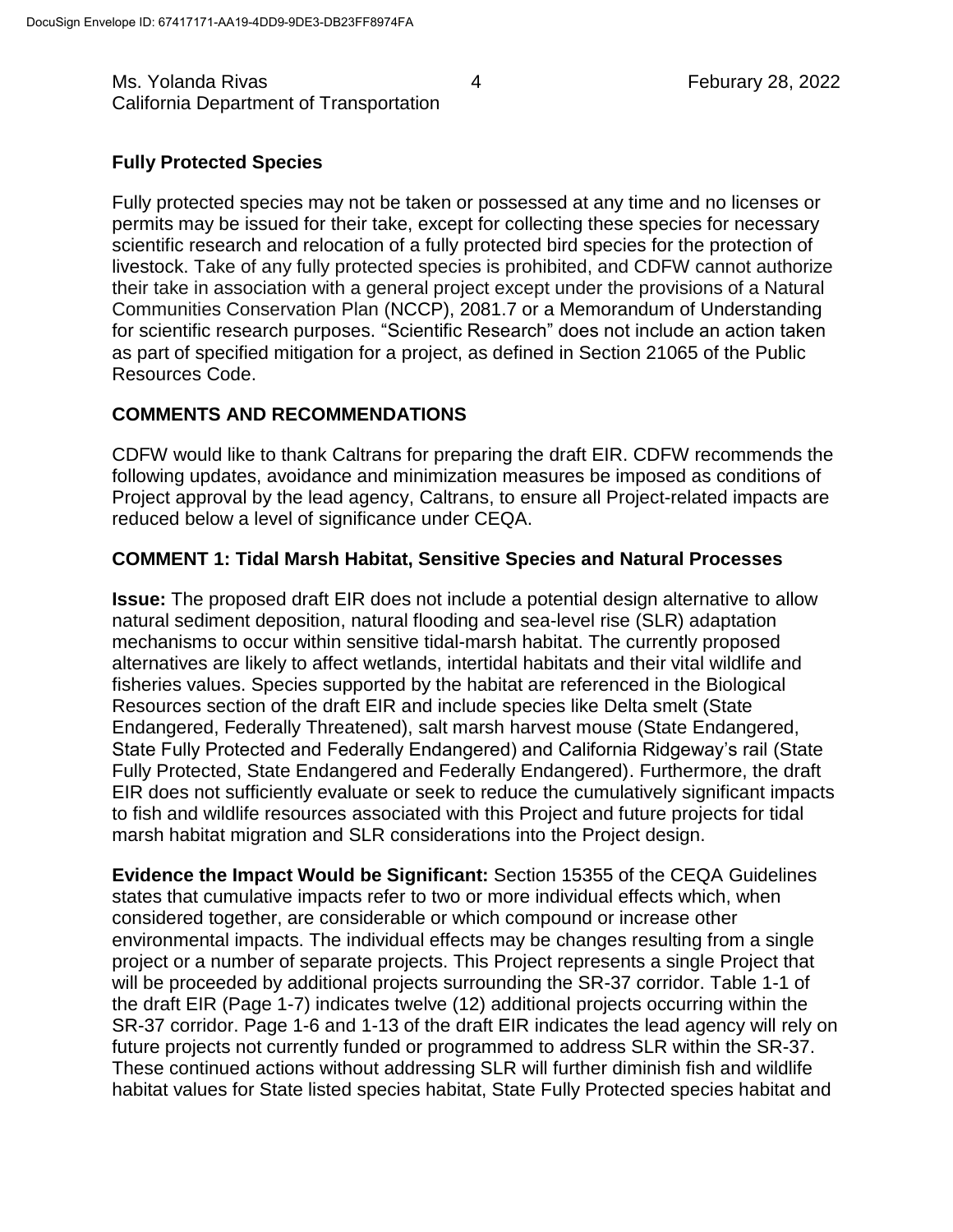Ms. Yolanda Rivas 4 Feburary 28, 2022 California Department of Transportation

#### **Fully Protected Species**

Fully protected species may not be taken or possessed at any time and no licenses or permits may be issued for their take, except for collecting these species for necessary scientific research and relocation of a fully protected bird species for the protection of livestock. Take of any fully protected species is prohibited, and CDFW cannot authorize their take in association with a general project except under the provisions of a Natural Communities Conservation Plan (NCCP), 2081.7 or a Memorandum of Understanding for scientific research purposes. "Scientific Research" does not include an action taken as part of specified mitigation for a project, as defined in Section 21065 of the Public Resources Code.

#### **COMMENTS AND RECOMMENDATIONS**

CDFW would like to thank Caltrans for preparing the draft EIR. CDFW recommends the following updates, avoidance and minimization measures be imposed as conditions of Project approval by the lead agency, Caltrans, to ensure all Project-related impacts are reduced below a level of significance under CEQA.

#### **COMMENT 1: Tidal Marsh Habitat, Sensitive Species and Natural Processes**

**Issue:** The proposed draft EIR does not include a potential design alternative to allow natural sediment deposition, natural flooding and sea-level rise (SLR) adaptation mechanisms to occur within sensitive tidal-marsh habitat. The currently proposed alternatives are likely to affect wetlands, intertidal habitats and their vital wildlife and fisheries values. Species supported by the habitat are referenced in the Biological Resources section of the draft EIR and include species like Delta smelt (State Endangered, Federally Threatened), salt marsh harvest mouse (State Endangered, State Fully Protected and Federally Endangered) and California Ridgeway's rail (State Fully Protected, State Endangered and Federally Endangered). Furthermore, the draft EIR does not sufficiently evaluate or seek to reduce the cumulatively significant impacts to fish and wildlife resources associated with this Project and future projects for tidal marsh habitat migration and SLR considerations into the Project design.

**Evidence the Impact Would be Significant:** Section 15355 of the CEQA Guidelines states that cumulative impacts refer to two or more individual effects which, when considered together, are considerable or which compound or increase other environmental impacts. The individual effects may be changes resulting from a single project or a number of separate projects. This Project represents a single Project that will be proceeded by additional projects surrounding the SR-37 corridor. Table 1-1 of the draft EIR (Page 1-7) indicates twelve (12) additional projects occurring within the SR-37 corridor. Page 1-6 and 1-13 of the draft EIR indicates the lead agency will rely on future projects not currently funded or programmed to address SLR within the SR-37. These continued actions without addressing SLR will further diminish fish and wildlife habitat values for State listed species habitat, State Fully Protected species habitat and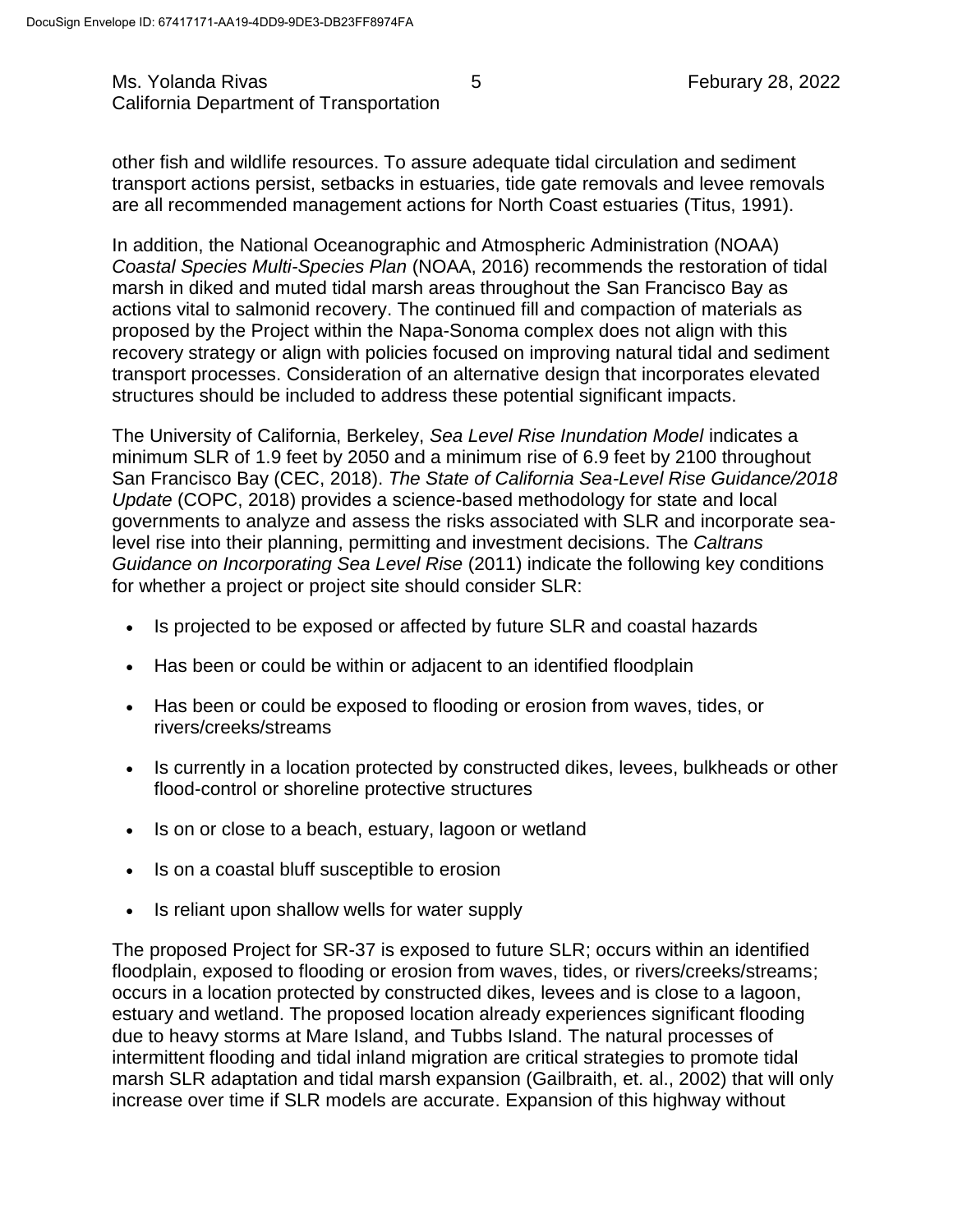Ms. Yolanda Rivas 6 Feburary 28, 2022 California Department of Transportation

other fish and wildlife resources. To assure adequate tidal circulation and sediment transport actions persist, setbacks in estuaries, tide gate removals and levee removals are all recommended management actions for North Coast estuaries (Titus, 1991).

In addition, the National Oceanographic and Atmospheric Administration (NOAA) *Coastal Species Multi-Species Plan* (NOAA, 2016) recommends the restoration of tidal marsh in diked and muted tidal marsh areas throughout the San Francisco Bay as actions vital to salmonid recovery. The continued fill and compaction of materials as proposed by the Project within the Napa-Sonoma complex does not align with this recovery strategy or align with policies focused on improving natural tidal and sediment transport processes. Consideration of an alternative design that incorporates elevated structures should be included to address these potential significant impacts.

The University of California, Berkeley, *Sea Level Rise Inundation Model* indicates a minimum SLR of 1.9 feet by 2050 and a minimum rise of 6.9 feet by 2100 throughout San Francisco Bay (CEC, 2018). *The State of California Sea-Level Rise Guidance/2018 Update* (COPC, 2018) provides a science-based methodology for state and local governments to analyze and assess the risks associated with SLR and incorporate sealevel rise into their planning, permitting and investment decisions. The *Caltrans Guidance on Incorporating Sea Level Rise* (2011) indicate the following key conditions for whether a project or project site should consider SLR:

- Is projected to be exposed or affected by future SLR and coastal hazards
- Has been or could be within or adjacent to an identified floodplain
- Has been or could be exposed to flooding or erosion from waves, tides, or rivers/creeks/streams
- Is currently in a location protected by constructed dikes, levees, bulkheads or other flood-control or shoreline protective structures
- Is on or close to a beach, estuary, lagoon or wetland
- Is on a coastal bluff susceptible to erosion
- Is reliant upon shallow wells for water supply

The proposed Project for SR-37 is exposed to future SLR; occurs within an identified floodplain, exposed to flooding or erosion from waves, tides, or rivers/creeks/streams; occurs in a location protected by constructed dikes, levees and is close to a lagoon, estuary and wetland. The proposed location already experiences significant flooding due to heavy storms at Mare Island, and Tubbs Island. The natural processes of intermittent flooding and tidal inland migration are critical strategies to promote tidal marsh SLR adaptation and tidal marsh expansion (Gailbraith, et. al., 2002) that will only increase over time if SLR models are accurate. Expansion of this highway without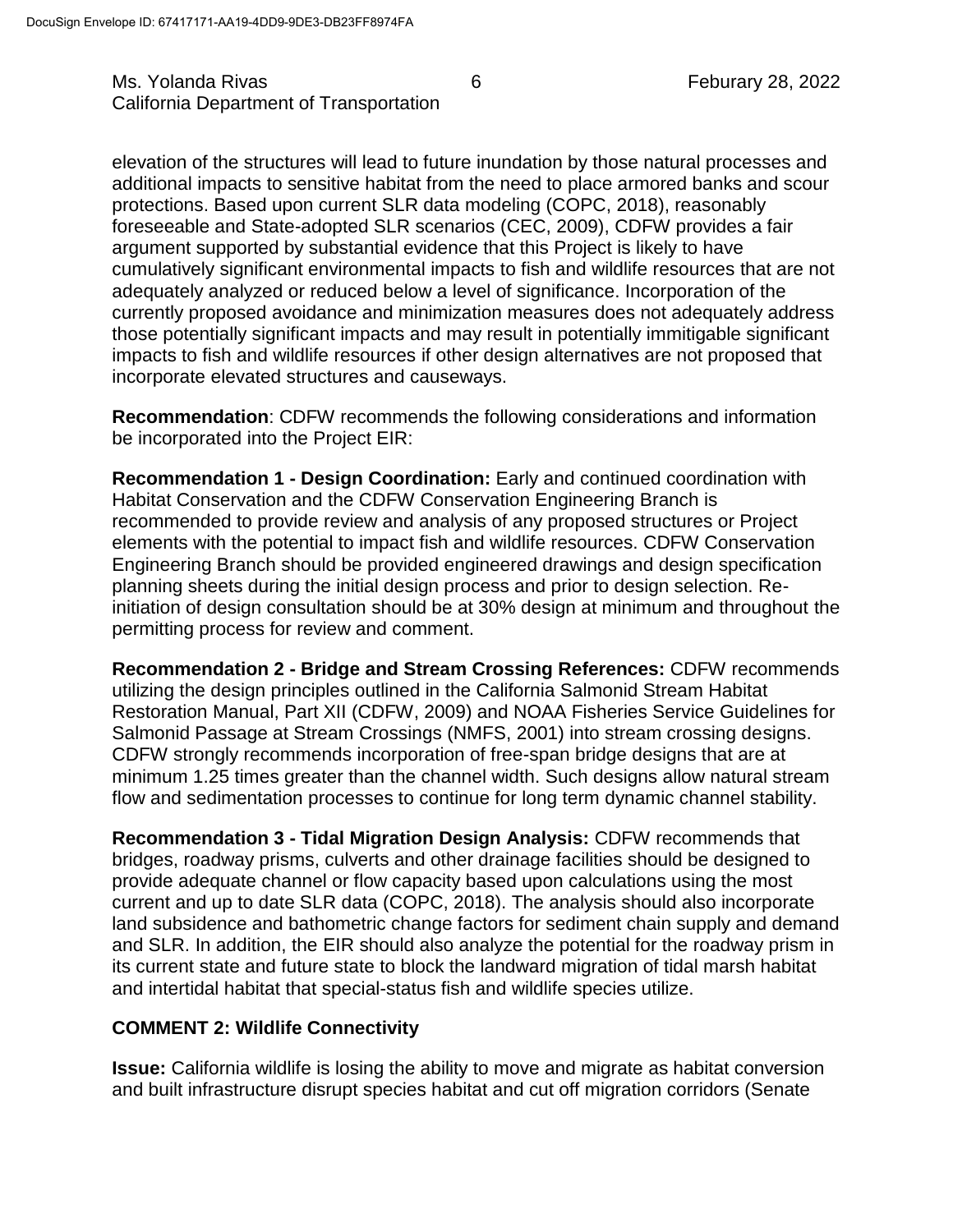elevation of the structures will lead to future inundation by those natural processes and additional impacts to sensitive habitat from the need to place armored banks and scour protections. Based upon current SLR data modeling (COPC, 2018), reasonably foreseeable and State-adopted SLR scenarios (CEC, 2009), CDFW provides a fair argument supported by substantial evidence that this Project is likely to have cumulatively significant environmental impacts to fish and wildlife resources that are not adequately analyzed or reduced below a level of significance. Incorporation of the currently proposed avoidance and minimization measures does not adequately address those potentially significant impacts and may result in potentially immitigable significant impacts to fish and wildlife resources if other design alternatives are not proposed that incorporate elevated structures and causeways.

**Recommendation**: CDFW recommends the following considerations and information be incorporated into the Project EIR:

**Recommendation 1 - Design Coordination:** Early and continued coordination with Habitat Conservation and the CDFW Conservation Engineering Branch is recommended to provide review and analysis of any proposed structures or Project elements with the potential to impact fish and wildlife resources. CDFW Conservation Engineering Branch should be provided engineered drawings and design specification planning sheets during the initial design process and prior to design selection. Reinitiation of design consultation should be at 30% design at minimum and throughout the permitting process for review and comment.

**Recommendation 2 - Bridge and Stream Crossing References:** CDFW recommends utilizing the design principles outlined in the California Salmonid Stream Habitat Restoration Manual, Part XII (CDFW, 2009) and NOAA Fisheries Service Guidelines for Salmonid Passage at Stream Crossings (NMFS, 2001) into stream crossing designs. CDFW strongly recommends incorporation of free-span bridge designs that are at minimum 1.25 times greater than the channel width. Such designs allow natural stream flow and sedimentation processes to continue for long term dynamic channel stability.

**Recommendation 3 - Tidal Migration Design Analysis:** CDFW recommends that bridges, roadway prisms, culverts and other drainage facilities should be designed to provide adequate channel or flow capacity based upon calculations using the most current and up to date SLR data (COPC, 2018). The analysis should also incorporate land subsidence and bathometric change factors for sediment chain supply and demand and SLR. In addition, the EIR should also analyze the potential for the roadway prism in its current state and future state to block the landward migration of tidal marsh habitat and intertidal habitat that special-status fish and wildlife species utilize.

## **COMMENT 2: Wildlife Connectivity**

**Issue:** California wildlife is losing the ability to move and migrate as habitat conversion and built infrastructure disrupt species habitat and cut off migration corridors (Senate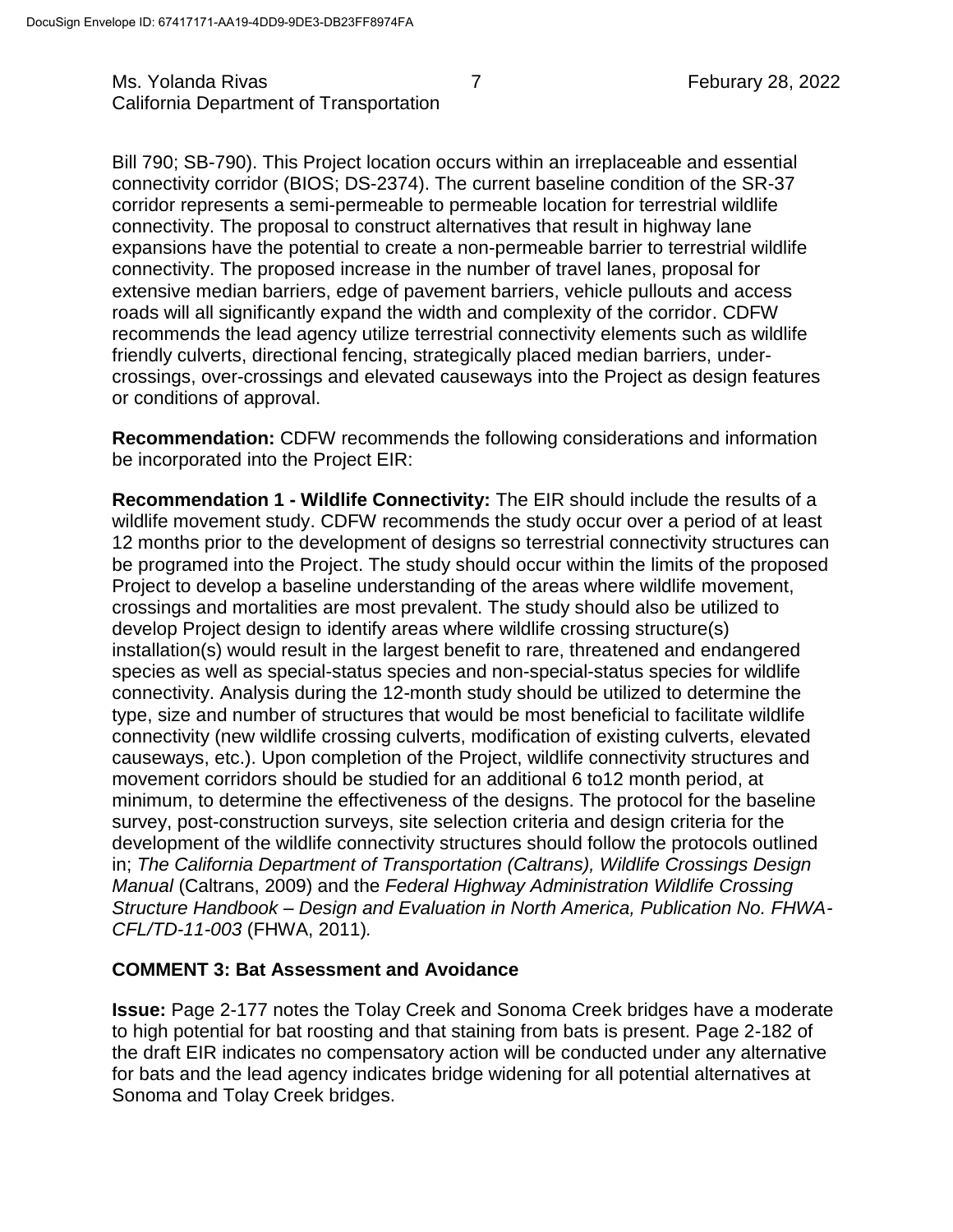## Ms. Yolanda Rivas **7** The Rivas **7 Feburary 28, 2022** California Department of Transportation

Bill 790; SB-790). This Project location occurs within an irreplaceable and essential connectivity corridor (BIOS; DS-2374). The current baseline condition of the SR-37 corridor represents a semi-permeable to permeable location for terrestrial wildlife connectivity. The proposal to construct alternatives that result in highway lane expansions have the potential to create a non-permeable barrier to terrestrial wildlife connectivity. The proposed increase in the number of travel lanes, proposal for extensive median barriers, edge of pavement barriers, vehicle pullouts and access roads will all significantly expand the width and complexity of the corridor. CDFW recommends the lead agency utilize terrestrial connectivity elements such as wildlife friendly culverts, directional fencing, strategically placed median barriers, undercrossings, over-crossings and elevated causeways into the Project as design features or conditions of approval.

**Recommendation:** CDFW recommends the following considerations and information be incorporated into the Project EIR:

**Recommendation 1 - Wildlife Connectivity:** The EIR should include the results of a wildlife movement study. CDFW recommends the study occur over a period of at least 12 months prior to the development of designs so terrestrial connectivity structures can be programed into the Project. The study should occur within the limits of the proposed Project to develop a baseline understanding of the areas where wildlife movement, crossings and mortalities are most prevalent. The study should also be utilized to develop Project design to identify areas where wildlife crossing structure(s) installation(s) would result in the largest benefit to rare, threatened and endangered species as well as special-status species and non-special-status species for wildlife connectivity. Analysis during the 12-month study should be utilized to determine the type, size and number of structures that would be most beneficial to facilitate wildlife connectivity (new wildlife crossing culverts, modification of existing culverts, elevated causeways, etc.). Upon completion of the Project, wildlife connectivity structures and movement corridors should be studied for an additional 6 to12 month period, at minimum, to determine the effectiveness of the designs. The protocol for the baseline survey, post-construction surveys, site selection criteria and design criteria for the development of the wildlife connectivity structures should follow the protocols outlined in; *The California Department of Transportation (Caltrans), Wildlife Crossings Design Manual* (Caltrans, 2009) and the *Federal Highway Administration Wildlife Crossing Structure Handbook – Design and Evaluation in North America, Publication No. FHWA-CFL/TD-11-003* (FHWA, 2011)*.* 

## **COMMENT 3: Bat Assessment and Avoidance**

**Issue:** Page 2-177 notes the Tolay Creek and Sonoma Creek bridges have a moderate to high potential for bat roosting and that staining from bats is present. Page 2-182 of the draft EIR indicates no compensatory action will be conducted under any alternative for bats and the lead agency indicates bridge widening for all potential alternatives at Sonoma and Tolay Creek bridges.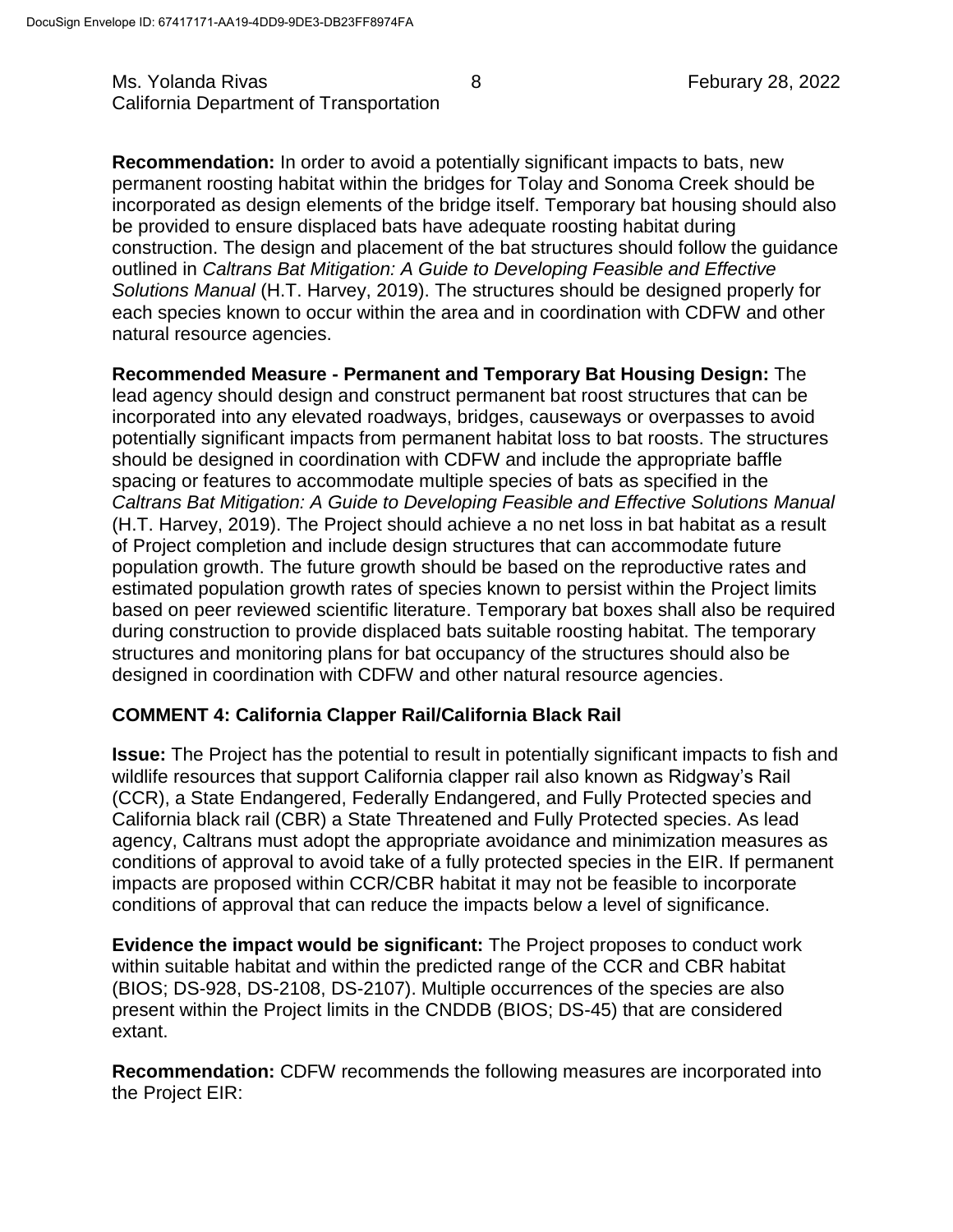Ms. Yolanda Rivas 8 Feburary 28, 2022 California Department of Transportation

**Recommendation:** In order to avoid a potentially significant impacts to bats, new permanent roosting habitat within the bridges for Tolay and Sonoma Creek should be incorporated as design elements of the bridge itself. Temporary bat housing should also be provided to ensure displaced bats have adequate roosting habitat during construction. The design and placement of the bat structures should follow the guidance outlined in *Caltrans Bat Mitigation: A Guide to Developing Feasible and Effective Solutions Manual* (H.T. Harvey, 2019). The structures should be designed properly for each species known to occur within the area and in coordination with CDFW and other natural resource agencies.

**Recommended Measure - Permanent and Temporary Bat Housing Design:** The lead agency should design and construct permanent bat roost structures that can be incorporated into any elevated roadways, bridges, causeways or overpasses to avoid potentially significant impacts from permanent habitat loss to bat roosts. The structures should be designed in coordination with CDFW and include the appropriate baffle spacing or features to accommodate multiple species of bats as specified in the *Caltrans Bat Mitigation: A Guide to Developing Feasible and Effective Solutions Manual* (H.T. Harvey, 2019). The Project should achieve a no net loss in bat habitat as a result of Project completion and include design structures that can accommodate future population growth. The future growth should be based on the reproductive rates and estimated population growth rates of species known to persist within the Project limits based on peer reviewed scientific literature. Temporary bat boxes shall also be required during construction to provide displaced bats suitable roosting habitat. The temporary structures and monitoring plans for bat occupancy of the structures should also be designed in coordination with CDFW and other natural resource agencies.

## **COMMENT 4: California Clapper Rail/California Black Rail**

**Issue:** The Project has the potential to result in potentially significant impacts to fish and wildlife resources that support California clapper rail also known as Ridgway's Rail (CCR), a State Endangered, Federally Endangered, and Fully Protected species and California black rail (CBR) a State Threatened and Fully Protected species. As lead agency, Caltrans must adopt the appropriate avoidance and minimization measures as conditions of approval to avoid take of a fully protected species in the EIR. If permanent impacts are proposed within CCR/CBR habitat it may not be feasible to incorporate conditions of approval that can reduce the impacts below a level of significance.

**Evidence the impact would be significant:** The Project proposes to conduct work within suitable habitat and within the predicted range of the CCR and CBR habitat (BIOS; DS-928, DS-2108, DS-2107). Multiple occurrences of the species are also present within the Project limits in the CNDDB (BIOS; DS-45) that are considered extant.

**Recommendation:** CDFW recommends the following measures are incorporated into the Project EIR: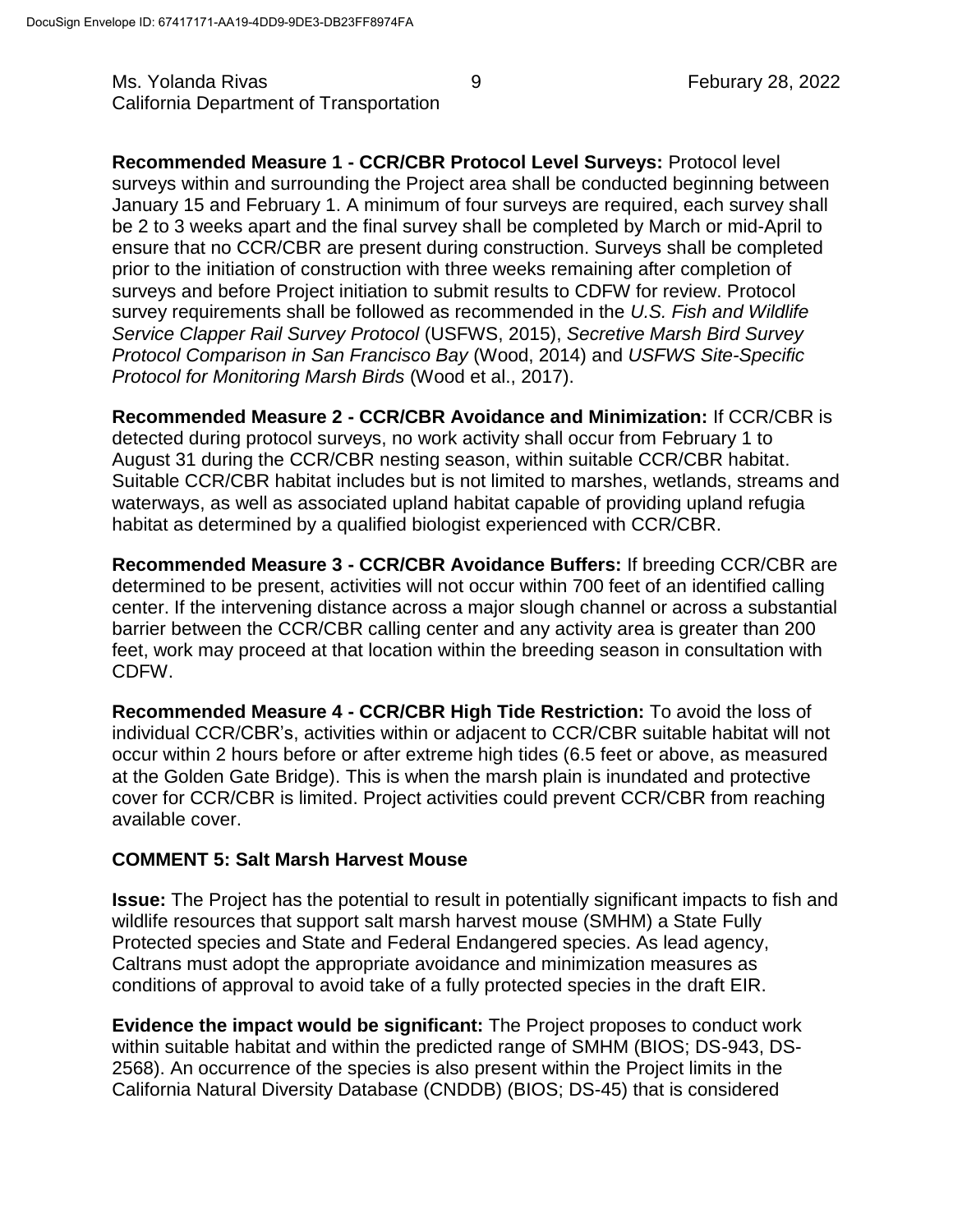Ms. Yolanda Rivas 6. November 28, 2022 California Department of Transportation

**Recommended Measure 1 - CCR/CBR Protocol Level Surveys:** Protocol level surveys within and surrounding the Project area shall be conducted beginning between January 15 and February 1. A minimum of four surveys are required, each survey shall be 2 to 3 weeks apart and the final survey shall be completed by March or mid-April to ensure that no CCR/CBR are present during construction. Surveys shall be completed prior to the initiation of construction with three weeks remaining after completion of surveys and before Project initiation to submit results to CDFW for review. Protocol survey requirements shall be followed as recommended in the *U.S. Fish and Wildlife Service Clapper Rail Survey Protocol* (USFWS, 2015), *Secretive Marsh Bird Survey Protocol Comparison in San Francisco Bay* (Wood, 2014) and *USFWS Site-Specific Protocol for Monitoring Marsh Birds* (Wood et al., 2017).

**Recommended Measure 2 - CCR/CBR Avoidance and Minimization:** If CCR/CBR is detected during protocol surveys, no work activity shall occur from February 1 to August 31 during the CCR/CBR nesting season, within suitable CCR/CBR habitat. Suitable CCR/CBR habitat includes but is not limited to marshes, wetlands, streams and waterways, as well as associated upland habitat capable of providing upland refugia habitat as determined by a qualified biologist experienced with CCR/CBR.

**Recommended Measure 3 - CCR/CBR Avoidance Buffers:** If breeding CCR/CBR are determined to be present, activities will not occur within 700 feet of an identified calling center. If the intervening distance across a major slough channel or across a substantial barrier between the CCR/CBR calling center and any activity area is greater than 200 feet, work may proceed at that location within the breeding season in consultation with CDFW.

**Recommended Measure 4 - CCR/CBR High Tide Restriction:** To avoid the loss of individual CCR/CBR's, activities within or adjacent to CCR/CBR suitable habitat will not occur within 2 hours before or after extreme high tides (6.5 feet or above, as measured at the Golden Gate Bridge). This is when the marsh plain is inundated and protective cover for CCR/CBR is limited. Project activities could prevent CCR/CBR from reaching available cover.

# **COMMENT 5: Salt Marsh Harvest Mouse**

**Issue:** The Project has the potential to result in potentially significant impacts to fish and wildlife resources that support salt marsh harvest mouse (SMHM) a State Fully Protected species and State and Federal Endangered species. As lead agency, Caltrans must adopt the appropriate avoidance and minimization measures as conditions of approval to avoid take of a fully protected species in the draft EIR.

**Evidence the impact would be significant:** The Project proposes to conduct work within suitable habitat and within the predicted range of SMHM (BIOS; DS-943, DS-2568). An occurrence of the species is also present within the Project limits in the California Natural Diversity Database (CNDDB) (BIOS; DS-45) that is considered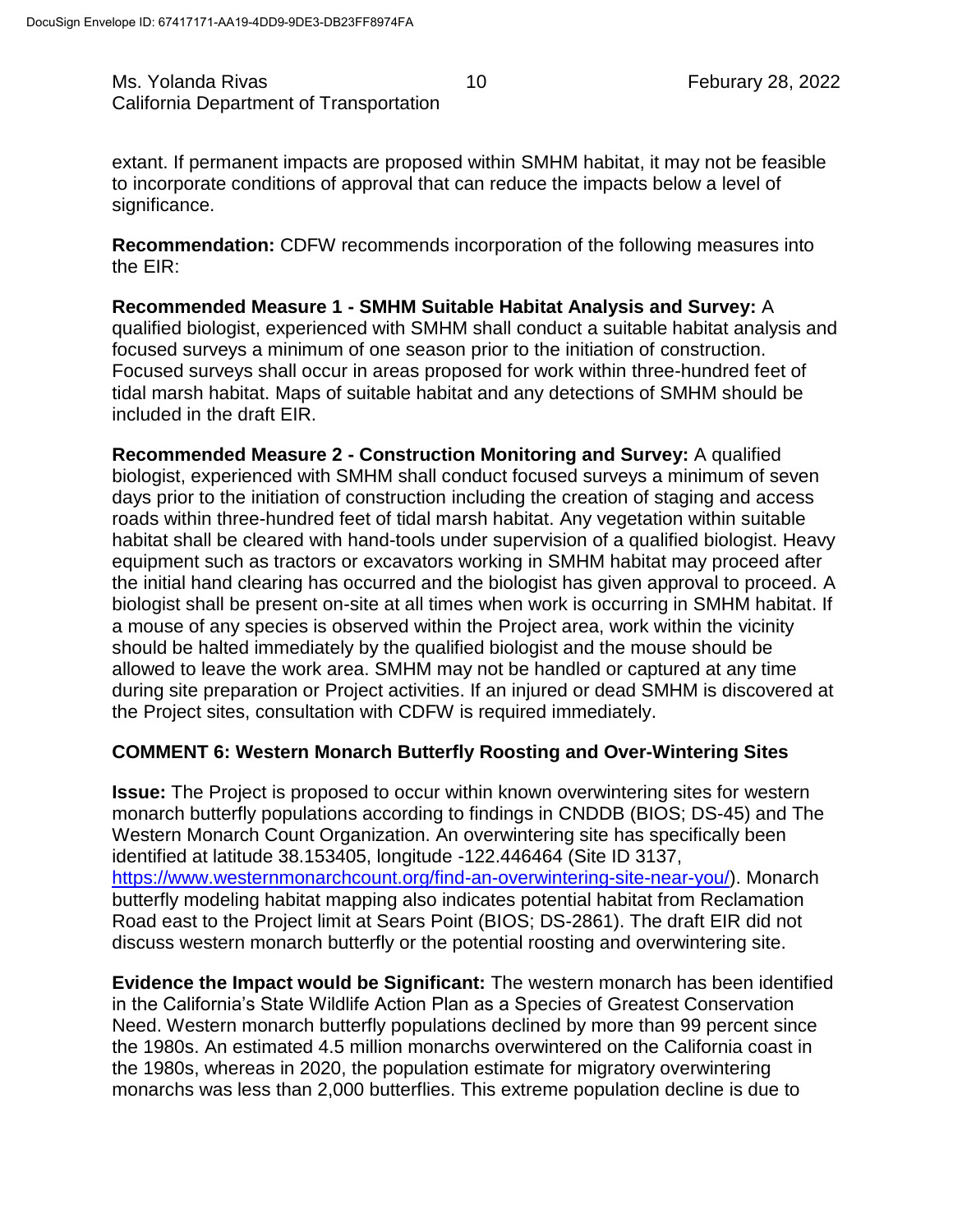Ms. Yolanda Rivas 10 10 Feburary 28, 2022 California Department of Transportation

extant. If permanent impacts are proposed within SMHM habitat, it may not be feasible to incorporate conditions of approval that can reduce the impacts below a level of significance.

**Recommendation:** CDFW recommends incorporation of the following measures into the EIR:

**Recommended Measure 1 - SMHM Suitable Habitat Analysis and Survey:** A qualified biologist, experienced with SMHM shall conduct a suitable habitat analysis and focused surveys a minimum of one season prior to the initiation of construction. Focused surveys shall occur in areas proposed for work within three-hundred feet of tidal marsh habitat. Maps of suitable habitat and any detections of SMHM should be included in the draft EIR.

**Recommended Measure 2 - Construction Monitoring and Survey:** A qualified biologist, experienced with SMHM shall conduct focused surveys a minimum of seven days prior to the initiation of construction including the creation of staging and access roads within three-hundred feet of tidal marsh habitat. Any vegetation within suitable habitat shall be cleared with hand-tools under supervision of a qualified biologist. Heavy equipment such as tractors or excavators working in SMHM habitat may proceed after the initial hand clearing has occurred and the biologist has given approval to proceed. A biologist shall be present on-site at all times when work is occurring in SMHM habitat. If a mouse of any species is observed within the Project area, work within the vicinity should be halted immediately by the qualified biologist and the mouse should be allowed to leave the work area. SMHM may not be handled or captured at any time during site preparation or Project activities. If an injured or dead SMHM is discovered at the Project sites, consultation with CDFW is required immediately.

## **COMMENT 6: Western Monarch Butterfly Roosting and Over-Wintering Sites**

**Issue:** The Project is proposed to occur within known overwintering sites for western monarch butterfly populations according to findings in CNDDB (BIOS; DS-45) and The Western Monarch Count Organization. An overwintering site has specifically been identified at latitude 38.153405, longitude -122.446464 (Site ID 3137, [https://www.westernmonarchcount.org/find-an-overwintering-site-near-you/\)](https://www.westernmonarchcount.org/find-an-overwintering-site-near-you/). Monarch butterfly modeling habitat mapping also indicates potential habitat from Reclamation Road east to the Project limit at Sears Point (BIOS; DS-2861). The draft EIR did not discuss western monarch butterfly or the potential roosting and overwintering site.

**Evidence the Impact would be Significant:** The western monarch has been identified in the California's State Wildlife Action Plan as a Species of Greatest Conservation Need. Western monarch butterfly populations declined by more than 99 percent since the 1980s. An estimated 4.5 million monarchs overwintered on the California coast in the 1980s, whereas in 2020, the population estimate for migratory overwintering monarchs was less than 2,000 butterflies. This extreme population decline is due to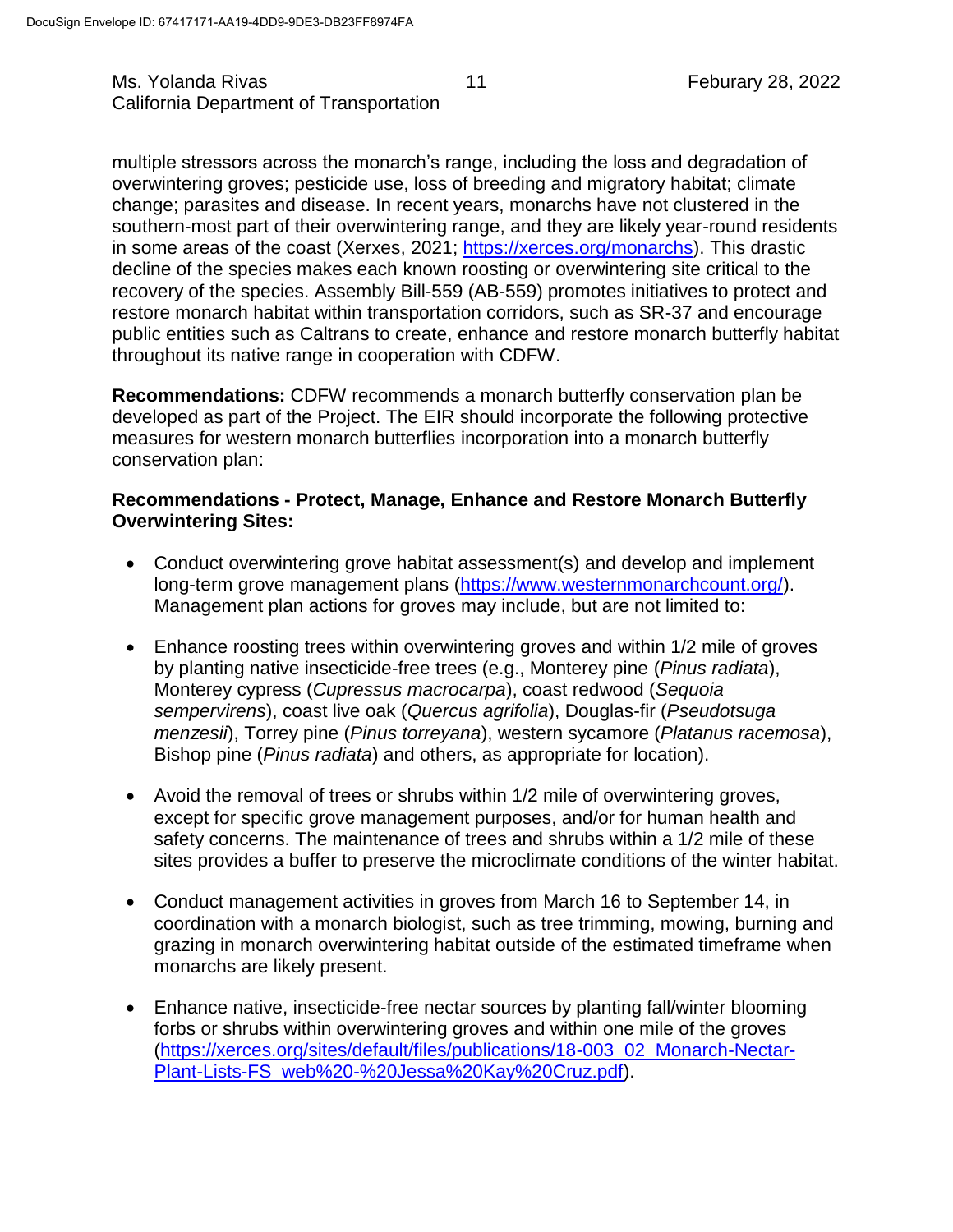multiple stressors across the monarch's range, including the loss and degradation of overwintering groves; pesticide use, loss of breeding and migratory habitat; climate change; parasites and disease. In recent years, monarchs have not clustered in the southern-most part of their overwintering range, and they are likely year-round residents in some areas of the coast (Xerxes, 2021; [https://xerces.org/monarchs\)](https://xerces.org/monarchs). This drastic decline of the species makes each known roosting or overwintering site critical to the recovery of the species. Assembly Bill-559 (AB-559) promotes initiatives to protect and restore monarch habitat within transportation corridors, such as SR-37 and encourage public entities such as Caltrans to create, enhance and restore monarch butterfly habitat throughout its native range in cooperation with CDFW.

**Recommendations:** CDFW recommends a monarch butterfly conservation plan be developed as part of the Project. The EIR should incorporate the following protective measures for western monarch butterflies incorporation into a monarch butterfly conservation plan:

## **Recommendations - Protect, Manage, Enhance and Restore Monarch Butterfly Overwintering Sites:**

- Conduct overwintering grove habitat assessment(s) and develop and implement long-term grove management plans [\(https://www.westernmonarchcount.org/\)](https://www.westernmonarchcount.org/). Management plan actions for groves may include, but are not limited to:
- Enhance roosting trees within overwintering groves and within 1/2 mile of groves by planting native insecticide-free trees (e.g., Monterey pine (*Pinus radiata*), Monterey cypress (*Cupressus macrocarpa*), coast redwood (*Sequoia sempervirens*), coast live oak (*Quercus agrifolia*), Douglas-fir (*Pseudotsuga menzesii*), Torrey pine (*Pinus torreyana*), western sycamore (*Platanus racemosa*), Bishop pine (*Pinus radiata*) and others, as appropriate for location).
- Avoid the removal of trees or shrubs within 1/2 mile of overwintering groves, except for specific grove management purposes, and/or for human health and safety concerns. The maintenance of trees and shrubs within a 1/2 mile of these sites provides a buffer to preserve the microclimate conditions of the winter habitat.
- Conduct management activities in groves from March 16 to September 14, in coordination with a monarch biologist, such as tree trimming, mowing, burning and grazing in monarch overwintering habitat outside of the estimated timeframe when monarchs are likely present.
- Enhance native, insecticide-free nectar sources by planting fall/winter blooming forbs or shrubs within overwintering groves and within one mile of the groves [\(https://xerces.org/sites/default/files/publications/18-003\\_02\\_Monarch-Nectar-](https://xerces.org/sites/default/files/publications/18-003_02_Monarch-Nectar-Plant-Lists-FS_web%20-%20Jessa%20Kay%20Cruz.pdf)[Plant-Lists-FS\\_web%20-%20Jessa%20Kay%20Cruz.pdf\)](https://xerces.org/sites/default/files/publications/18-003_02_Monarch-Nectar-Plant-Lists-FS_web%20-%20Jessa%20Kay%20Cruz.pdf).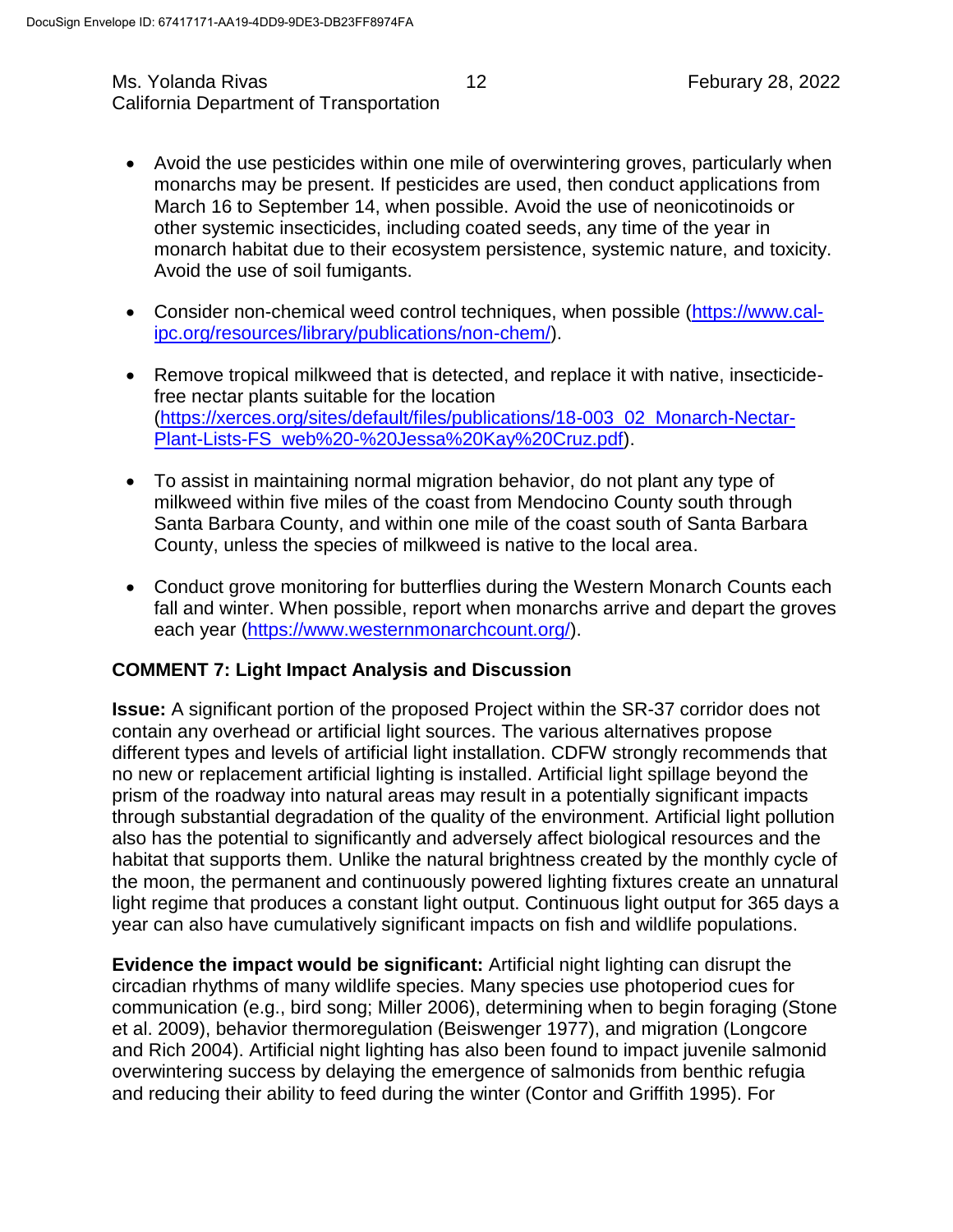#### Ms. Yolanda Rivas 12 12 Feburary 28, 2022 California Department of Transportation

- Avoid the use pesticides within one mile of overwintering groves, particularly when monarchs may be present. If pesticides are used, then conduct applications from March 16 to September 14, when possible. Avoid the use of neonicotinoids or other systemic insecticides, including coated seeds, any time of the year in monarch habitat due to their ecosystem persistence, systemic nature, and toxicity. Avoid the use of soil fumigants.
- Consider non-chemical weed control techniques, when possible [\(https://www.cal](https://www.cal-ipc.org/resources/library/publications/non-chem/)[ipc.org/resources/library/publications/non-chem/\)](https://www.cal-ipc.org/resources/library/publications/non-chem/).
- Remove tropical milkweed that is detected, and replace it with native, insecticidefree nectar plants suitable for the location [\(https://xerces.org/sites/default/files/publications/18-003\\_02\\_Monarch-Nectar-](https://xerces.org/sites/default/files/publications/18-003_02_Monarch-Nectar-Plant-Lists-FS_web%20-%20Jessa%20Kay%20Cruz.pdf)[Plant-Lists-FS\\_web%20-%20Jessa%20Kay%20Cruz.pdf\)](https://xerces.org/sites/default/files/publications/18-003_02_Monarch-Nectar-Plant-Lists-FS_web%20-%20Jessa%20Kay%20Cruz.pdf).
- To assist in maintaining normal migration behavior, do not plant any type of milkweed within five miles of the coast from Mendocino County south through Santa Barbara County, and within one mile of the coast south of Santa Barbara County, unless the species of milkweed is native to the local area.
- Conduct grove monitoring for butterflies during the Western Monarch Counts each fall and winter. When possible, report when monarchs arrive and depart the groves each year [\(https://www.westernmonarchcount.org/\)](https://www.westernmonarchcount.org/).

## **COMMENT 7: Light Impact Analysis and Discussion**

**Issue:** A significant portion of the proposed Project within the SR-37 corridor does not contain any overhead or artificial light sources. The various alternatives propose different types and levels of artificial light installation. CDFW strongly recommends that no new or replacement artificial lighting is installed. Artificial light spillage beyond the prism of the roadway into natural areas may result in a potentially significant impacts through substantial degradation of the quality of the environment. Artificial light pollution also has the potential to significantly and adversely affect biological resources and the habitat that supports them. Unlike the natural brightness created by the monthly cycle of the moon, the permanent and continuously powered lighting fixtures create an unnatural light regime that produces a constant light output. Continuous light output for 365 days a year can also have cumulatively significant impacts on fish and wildlife populations.

**Evidence the impact would be significant:** Artificial night lighting can disrupt the circadian rhythms of many wildlife species. Many species use photoperiod cues for communication (e.g., bird song; Miller 2006), determining when to begin foraging (Stone et al. 2009), behavior thermoregulation (Beiswenger 1977), and migration (Longcore and Rich 2004). Artificial night lighting has also been found to impact juvenile salmonid overwintering success by delaying the emergence of salmonids from benthic refugia and reducing their ability to feed during the winter (Contor and Griffith 1995). For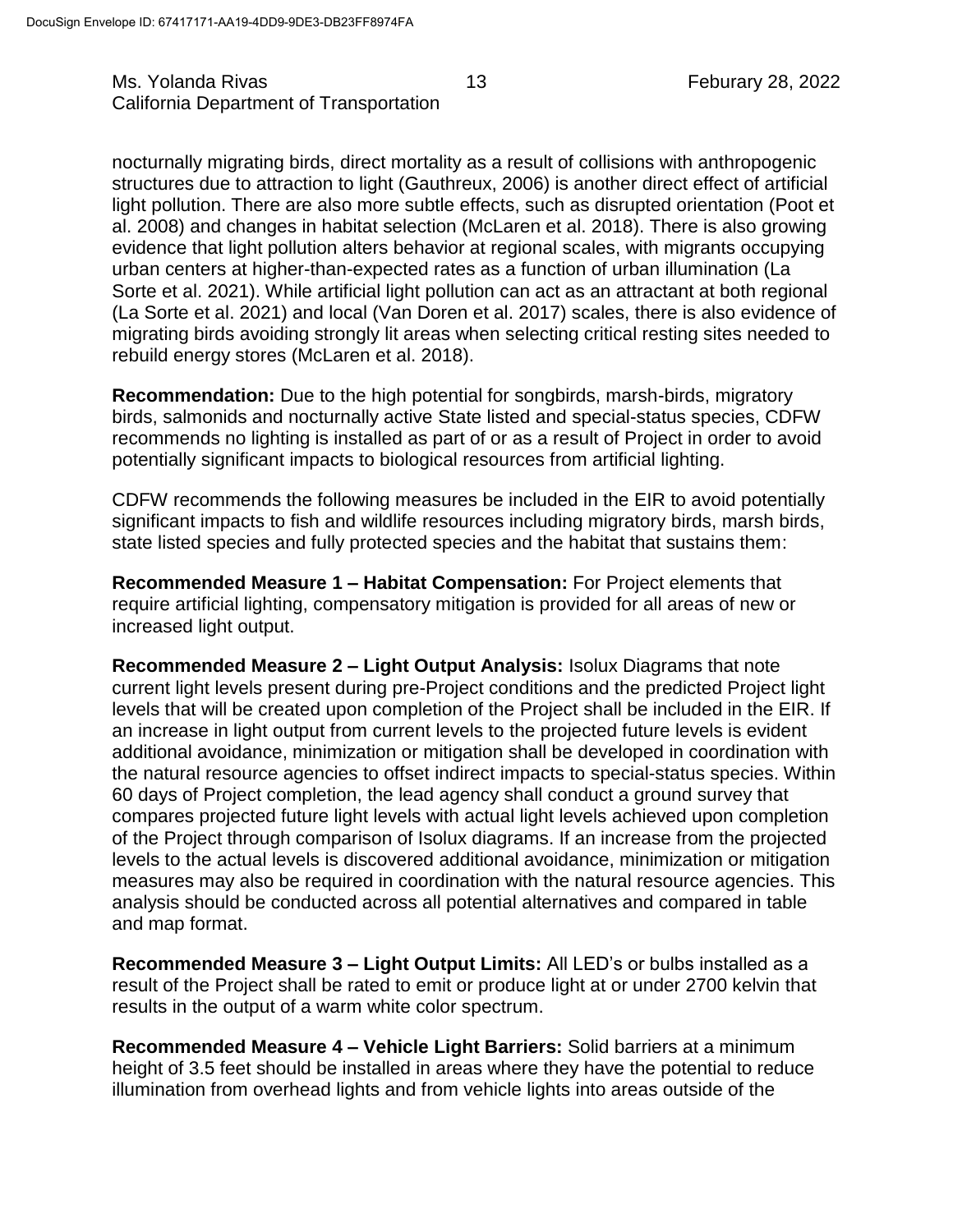nocturnally migrating birds, direct mortality as a result of collisions with anthropogenic structures due to attraction to light (Gauthreux, 2006) is another direct effect of artificial light pollution. There are also more subtle effects, such as disrupted orientation (Poot et al. 2008) and changes in habitat selection (McLaren et al. 2018). There is also growing evidence that light pollution alters behavior at regional scales, with migrants occupying urban centers at higher-than-expected rates as a function of urban illumination (La Sorte et al. 2021). While artificial light pollution can act as an attractant at both regional (La Sorte et al. 2021) and local (Van Doren et al. 2017) scales, there is also evidence of migrating birds avoiding strongly lit areas when selecting critical resting sites needed to rebuild energy stores (McLaren et al. 2018).

**Recommendation:** Due to the high potential for songbirds, marsh-birds, migratory birds, salmonids and nocturnally active State listed and special-status species, CDFW recommends no lighting is installed as part of or as a result of Project in order to avoid potentially significant impacts to biological resources from artificial lighting.

CDFW recommends the following measures be included in the EIR to avoid potentially significant impacts to fish and wildlife resources including migratory birds, marsh birds, state listed species and fully protected species and the habitat that sustains them:

**Recommended Measure 1 – Habitat Compensation:** For Project elements that require artificial lighting, compensatory mitigation is provided for all areas of new or increased light output.

**Recommended Measure 2 – Light Output Analysis:** Isolux Diagrams that note current light levels present during pre-Project conditions and the predicted Project light levels that will be created upon completion of the Project shall be included in the EIR. If an increase in light output from current levels to the projected future levels is evident additional avoidance, minimization or mitigation shall be developed in coordination with the natural resource agencies to offset indirect impacts to special-status species. Within 60 days of Project completion, the lead agency shall conduct a ground survey that compares projected future light levels with actual light levels achieved upon completion of the Project through comparison of Isolux diagrams. If an increase from the projected levels to the actual levels is discovered additional avoidance, minimization or mitigation measures may also be required in coordination with the natural resource agencies. This analysis should be conducted across all potential alternatives and compared in table and map format.

**Recommended Measure 3 – Light Output Limits:** All LED's or bulbs installed as a result of the Project shall be rated to emit or produce light at or under 2700 kelvin that results in the output of a warm white color spectrum.

**Recommended Measure 4 – Vehicle Light Barriers:** Solid barriers at a minimum height of 3.5 feet should be installed in areas where they have the potential to reduce illumination from overhead lights and from vehicle lights into areas outside of the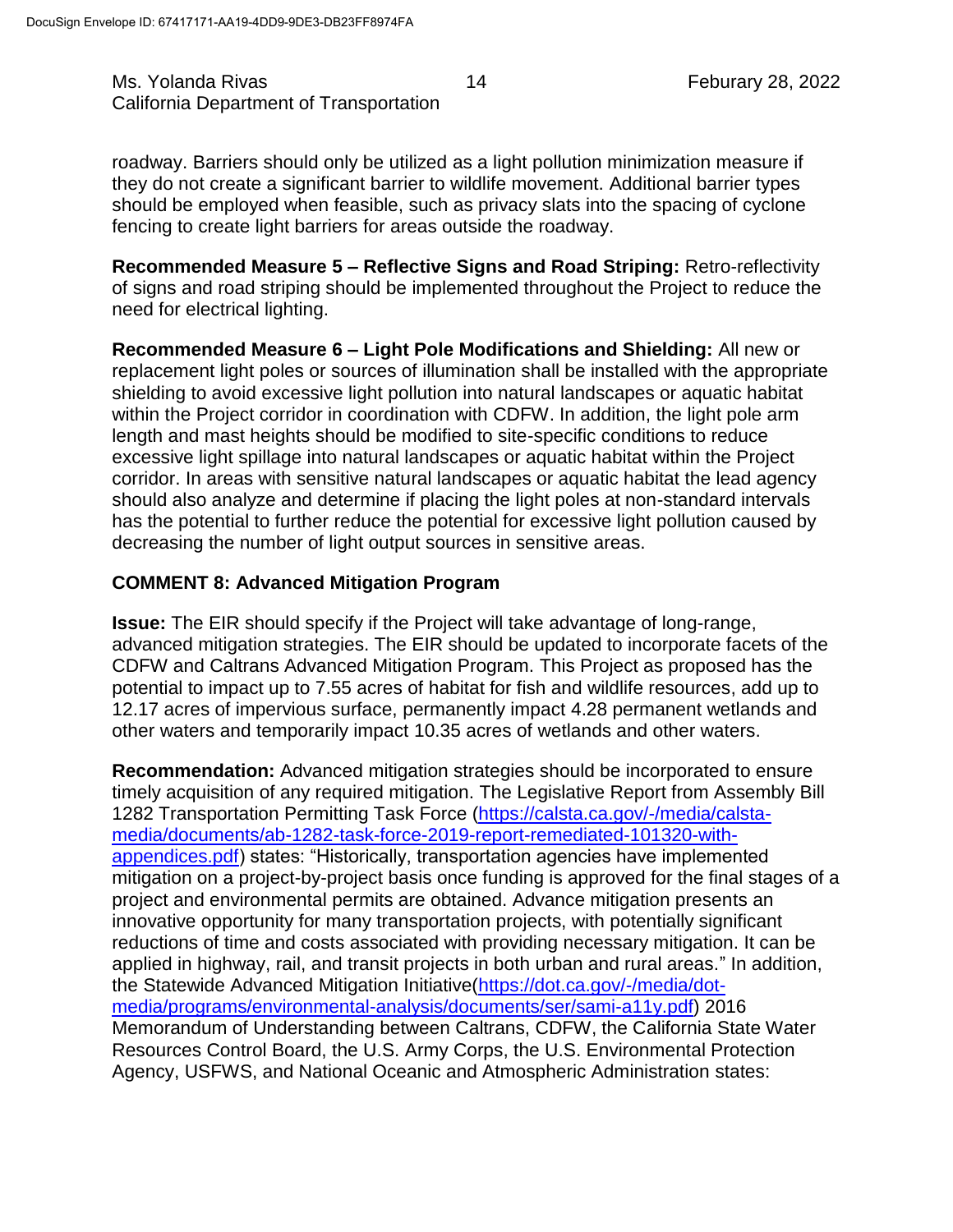Ms. Yolanda Rivas 14 Feburary 28, 2022 California Department of Transportation

roadway. Barriers should only be utilized as a light pollution minimization measure if they do not create a significant barrier to wildlife movement. Additional barrier types should be employed when feasible, such as privacy slats into the spacing of cyclone fencing to create light barriers for areas outside the roadway.

**Recommended Measure 5 – Reflective Signs and Road Striping:** Retro-reflectivity of signs and road striping should be implemented throughout the Project to reduce the need for electrical lighting.

**Recommended Measure 6 – Light Pole Modifications and Shielding:** All new or replacement light poles or sources of illumination shall be installed with the appropriate shielding to avoid excessive light pollution into natural landscapes or aquatic habitat within the Project corridor in coordination with CDFW. In addition, the light pole arm length and mast heights should be modified to site-specific conditions to reduce excessive light spillage into natural landscapes or aquatic habitat within the Project corridor. In areas with sensitive natural landscapes or aquatic habitat the lead agency should also analyze and determine if placing the light poles at non-standard intervals has the potential to further reduce the potential for excessive light pollution caused by decreasing the number of light output sources in sensitive areas.

#### **COMMENT 8: Advanced Mitigation Program**

**Issue:** The EIR should specify if the Project will take advantage of long-range, advanced mitigation strategies. The EIR should be updated to incorporate facets of the CDFW and Caltrans Advanced Mitigation Program. This Project as proposed has the potential to impact up to 7.55 acres of habitat for fish and wildlife resources, add up to 12.17 acres of impervious surface, permanently impact 4.28 permanent wetlands and other waters and temporarily impact 10.35 acres of wetlands and other waters.

**Recommendation:** Advanced mitigation strategies should be incorporated to ensure timely acquisition of any required mitigation. The Legislative Report from Assembly Bill 1282 Transportation Permitting Task Force [\(https://calsta.ca.gov/-/media/calsta](https://calsta.ca.gov/-/media/calsta-media/documents/ab-1282-task-force-2019-report-remediated-101320-with-appendices.pdf)[media/documents/ab-1282-task-force-2019-report-remediated-101320-with](https://calsta.ca.gov/-/media/calsta-media/documents/ab-1282-task-force-2019-report-remediated-101320-with-appendices.pdf)[appendices.pdf\)](https://calsta.ca.gov/-/media/calsta-media/documents/ab-1282-task-force-2019-report-remediated-101320-with-appendices.pdf) states: "Historically, transportation agencies have implemented mitigation on a project-by-project basis once funding is approved for the final stages of a project and environmental permits are obtained. Advance mitigation presents an innovative opportunity for many transportation projects, with potentially significant reductions of time and costs associated with providing necessary mitigation. It can be applied in highway, rail, and transit projects in both urban and rural areas." In addition, the Statewide Advanced Mitigation Initiative[\(https://dot.ca.gov/-/media/dot](https://dot.ca.gov/-/media/dot-media/programs/environmental-analysis/documents/ser/sami-a11y.pdf)[media/programs/environmental-analysis/documents/ser/sami-a11y.pdf\)](https://dot.ca.gov/-/media/dot-media/programs/environmental-analysis/documents/ser/sami-a11y.pdf) 2016 Memorandum of Understanding between Caltrans, CDFW, the California State Water Resources Control Board, the U.S. Army Corps, the U.S. Environmental Protection Agency, USFWS, and National Oceanic and Atmospheric Administration states: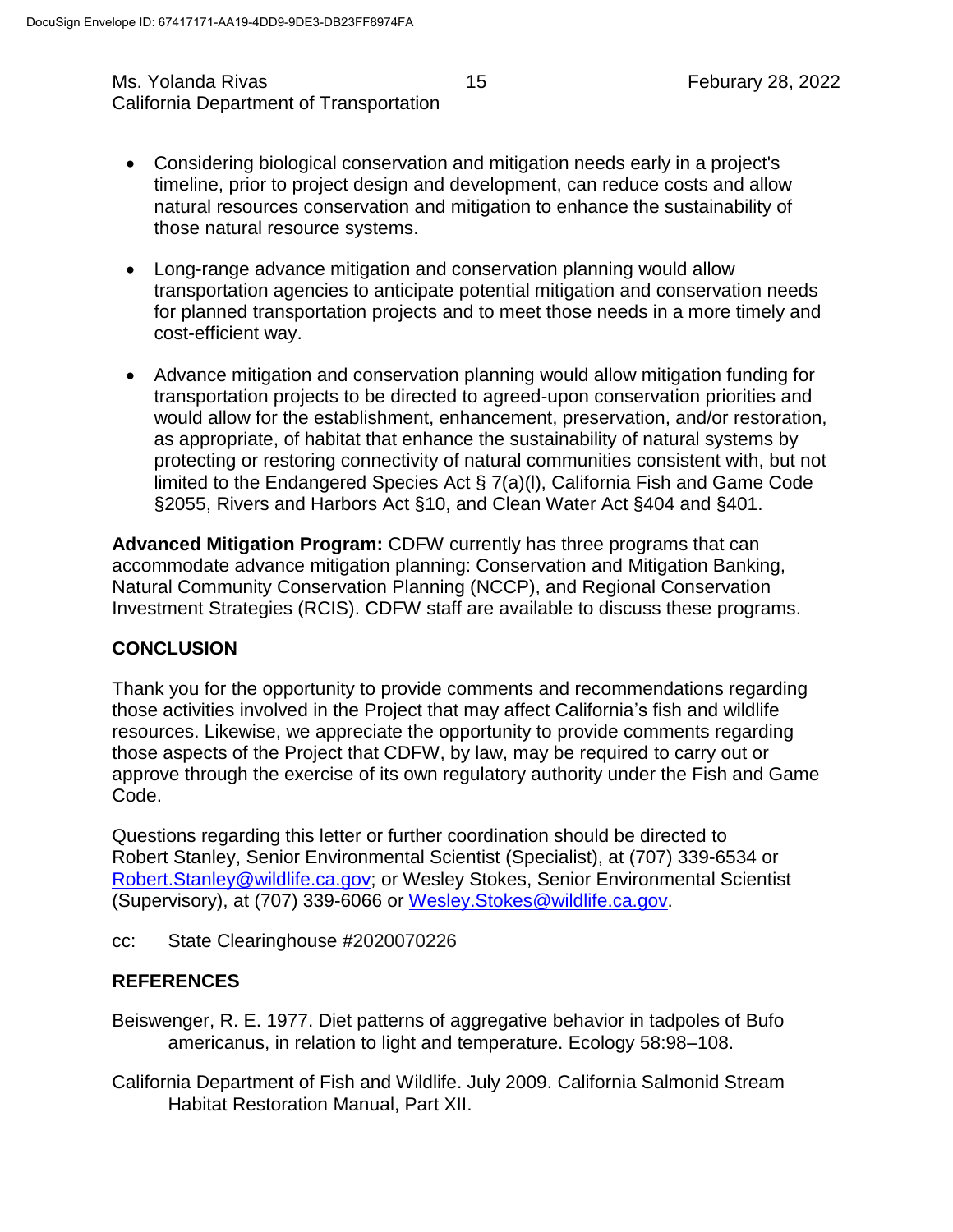#### Ms. Yolanda Rivas 15 Feburary 28, 2022 California Department of Transportation

- Considering biological conservation and mitigation needs early in a project's timeline, prior to project design and development, can reduce costs and allow natural resources conservation and mitigation to enhance the sustainability of those natural resource systems.
- Long-range advance mitigation and conservation planning would allow transportation agencies to anticipate potential mitigation and conservation needs for planned transportation projects and to meet those needs in a more timely and cost-efficient way.
- Advance mitigation and conservation planning would allow mitigation funding for transportation projects to be directed to agreed-upon conservation priorities and would allow for the establishment, enhancement, preservation, and/or restoration, as appropriate, of habitat that enhance the sustainability of natural systems by protecting or restoring connectivity of natural communities consistent with, but not limited to the Endangered Species Act § 7(a)(l), California Fish and Game Code §2055, Rivers and Harbors Act §10, and Clean Water Act §404 and §401.

**Advanced Mitigation Program:** CDFW currently has three programs that can accommodate advance mitigation planning: Conservation and Mitigation Banking, Natural Community Conservation Planning (NCCP), and Regional Conservation Investment Strategies (RCIS). CDFW staff are available to discuss these programs.

## **CONCLUSION**

Thank you for the opportunity to provide comments and recommendations regarding those activities involved in the Project that may affect California's fish and wildlife resources. Likewise, we appreciate the opportunity to provide comments regarding those aspects of the Project that CDFW, by law, may be required to carry out or approve through the exercise of its own regulatory authority under the Fish and Game Code.

Questions regarding this letter or further coordination should be directed to Robert Stanley, Senior Environmental Scientist (Specialist), at (707) 339-6534 or [Robert.Stanley@wildlife.ca.gov;](mailto:Robert.Stanley@wildlife.ca.gov) or Wesley Stokes, Senior Environmental Scientist (Supervisory), at (707) 339-6066 or [Wesley.Stokes@wildlife.ca.gov.](mailto:Wesley.Stokes@wildlife.ca.gov)

cc: State Clearinghouse #2020070226

## **REFERENCES**

- Beiswenger, R. E. 1977. Diet patterns of aggregative behavior in tadpoles of Bufo americanus, in relation to light and temperature. Ecology 58:98–108.
- California Department of Fish and Wildlife. July 2009. California Salmonid Stream Habitat Restoration Manual, Part XII.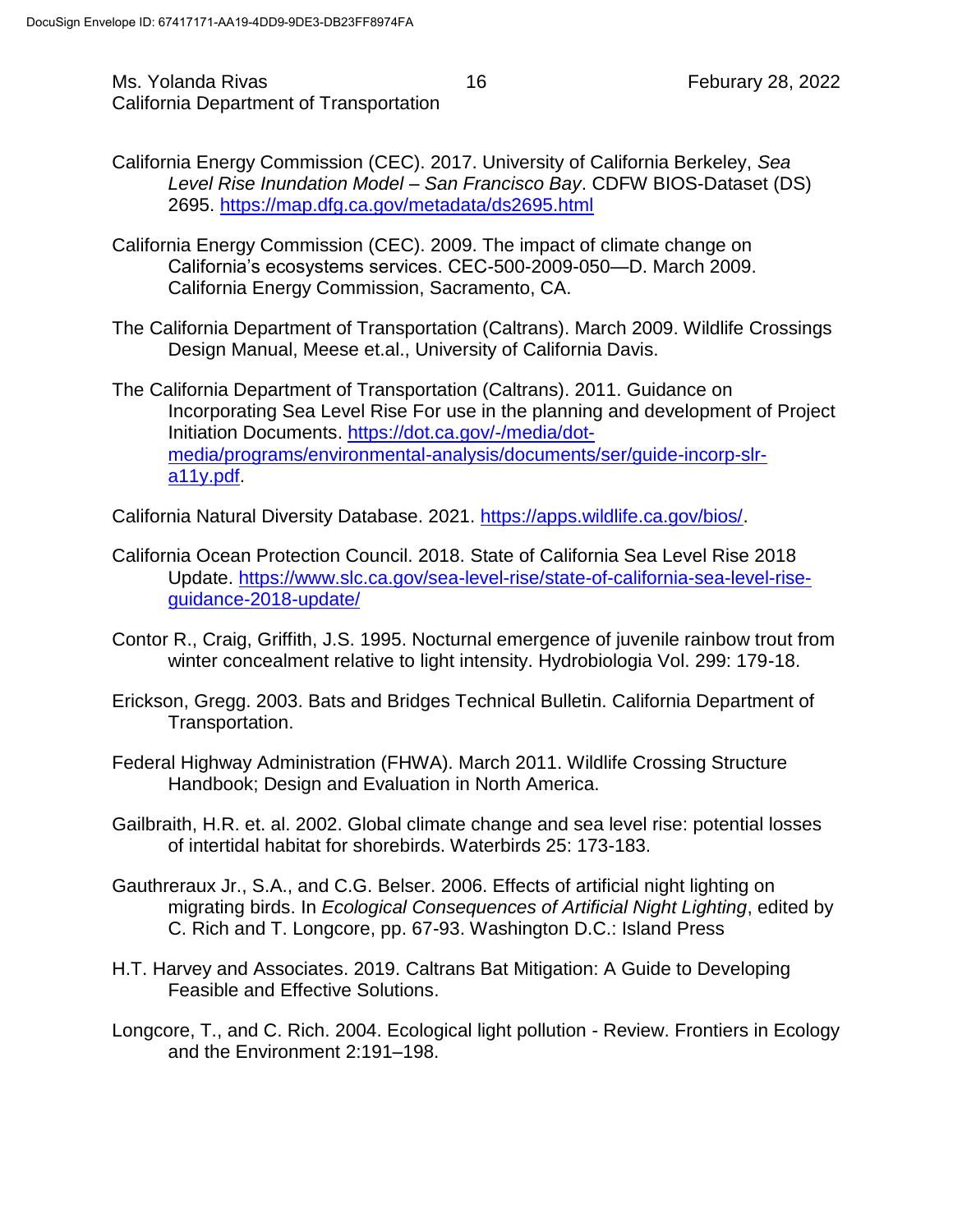- California Energy Commission (CEC). 2017. University of California Berkeley, *Sea Level Rise Inundation Model – San Francisco Bay*. CDFW BIOS-Dataset (DS) 2695. <https://map.dfg.ca.gov/metadata/ds2695.html>
- California Energy Commission (CEC). 2009. The impact of climate change on California's ecosystems services. CEC-500-2009-050—D. March 2009. California Energy Commission, Sacramento, CA.
- The California Department of Transportation (Caltrans). March 2009. Wildlife Crossings Design Manual, Meese et.al., University of California Davis.
- The California Department of Transportation (Caltrans). 2011. Guidance on Incorporating Sea Level Rise For use in the planning and development of Project Initiation Documents. [https://dot.ca.gov/-/media/dot](https://dot.ca.gov/-/media/dot-media/programs/environmental-analysis/documents/ser/guide-incorp-slr-a11y.pdf)[media/programs/environmental-analysis/documents/ser/guide-incorp-slr](https://dot.ca.gov/-/media/dot-media/programs/environmental-analysis/documents/ser/guide-incorp-slr-a11y.pdf)[a11y.pdf.](https://dot.ca.gov/-/media/dot-media/programs/environmental-analysis/documents/ser/guide-incorp-slr-a11y.pdf)

California Natural Diversity Database. 2021. [https://apps.wildlife.ca.gov/bios/.](https://apps.wildlife.ca.gov/bios/)

- California Ocean Protection Council. 2018. State of California Sea Level Rise 2018 Update. [https://www.slc.ca.gov/sea-level-rise/state-of-california-sea-level-rise](https://www.slc.ca.gov/sea-level-rise/state-of-california-sea-level-rise-guidance-2018-update/)[guidance-2018-update/](https://www.slc.ca.gov/sea-level-rise/state-of-california-sea-level-rise-guidance-2018-update/)
- Contor R., Craig, Griffith, J.S. 1995. Nocturnal emergence of juvenile rainbow trout from winter concealment relative to light intensity. Hydrobiologia Vol. 299: 179-18.
- Erickson, Gregg. 2003. Bats and Bridges Technical Bulletin. California Department of Transportation.
- Federal Highway Administration (FHWA). March 2011. Wildlife Crossing Structure Handbook; Design and Evaluation in North America.
- Gailbraith, H.R. et. al. 2002. Global climate change and sea level rise: potential losses of intertidal habitat for shorebirds. Waterbirds 25: 173-183.
- Gauthreraux Jr., S.A., and C.G. Belser. 2006. Effects of artificial night lighting on migrating birds. In *Ecological Consequences of Artificial Night Lighting*, edited by C. Rich and T. Longcore, pp. 67-93. Washington D.C.: Island Press
- H.T. Harvey and Associates. 2019. Caltrans Bat Mitigation: A Guide to Developing Feasible and Effective Solutions.
- Longcore, T., and C. Rich. 2004. Ecological light pollution Review. Frontiers in Ecology and the Environment 2:191–198.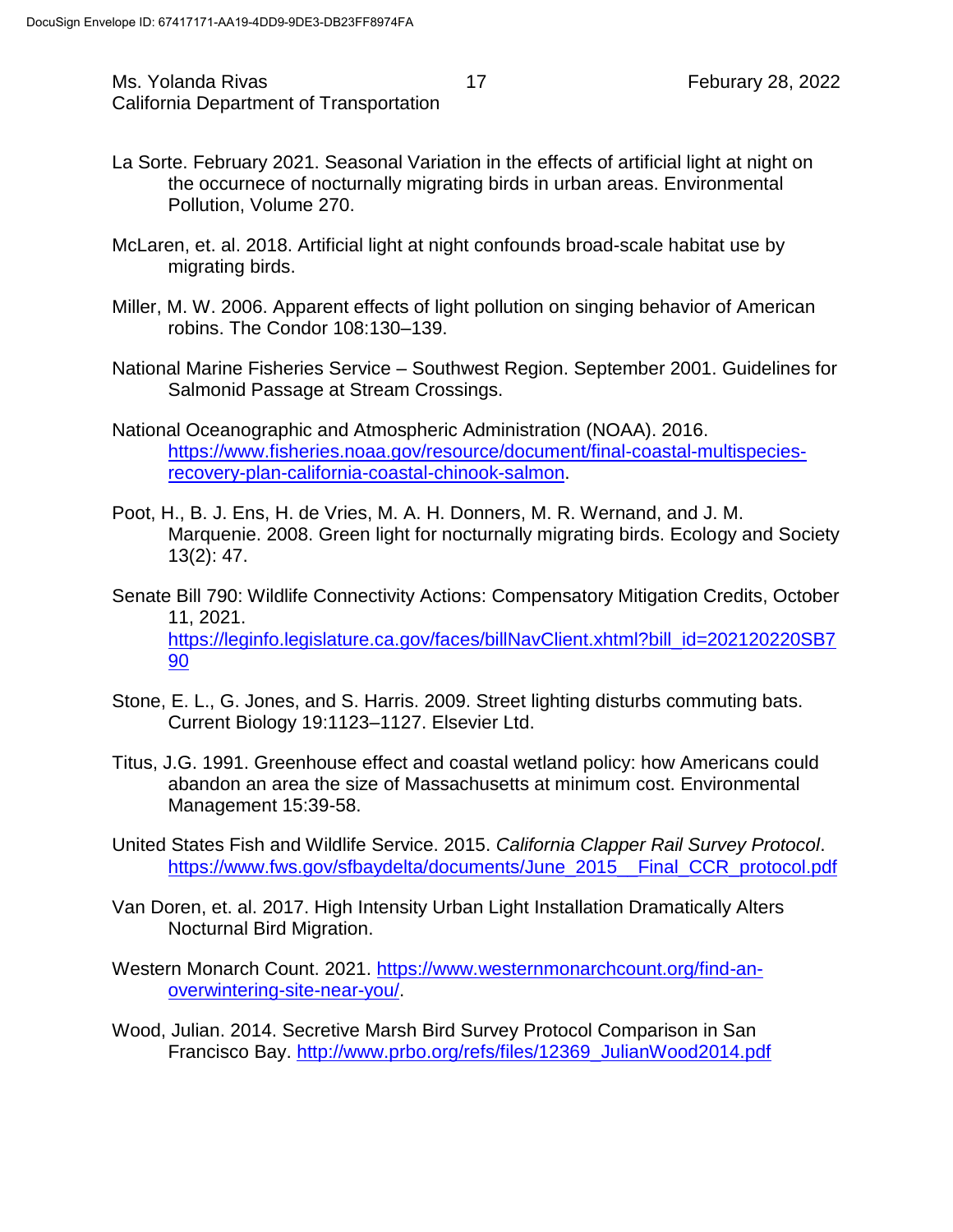Ms. Yolanda Rivas 17 17 Feburary 28, 2022 California Department of Transportation

- La Sorte. February 2021. Seasonal Variation in the effects of artificial light at night on the occurnece of nocturnally migrating birds in urban areas. Environmental Pollution, Volume 270.
- McLaren, et. al. 2018. Artificial light at night confounds broad-scale habitat use by migrating birds.
- Miller, M. W. 2006. Apparent effects of light pollution on singing behavior of American robins. The Condor 108:130–139.
- National Marine Fisheries Service Southwest Region. September 2001. Guidelines for Salmonid Passage at Stream Crossings.
- National Oceanographic and Atmospheric Administration (NOAA). 2016. [https://www.fisheries.noaa.gov/resource/document/final-coastal-multispecies](https://www.fisheries.noaa.gov/resource/document/final-coastal-multispecies-recovery-plan-california-coastal-chinook-salmon)[recovery-plan-california-coastal-chinook-salmon.](https://www.fisheries.noaa.gov/resource/document/final-coastal-multispecies-recovery-plan-california-coastal-chinook-salmon)
- Poot, H., B. J. Ens, H. de Vries, M. A. H. Donners, M. R. Wernand, and J. M. Marquenie. 2008. Green light for nocturnally migrating birds. Ecology and Society 13(2): 47.
- Senate Bill 790: Wildlife Connectivity Actions: Compensatory Mitigation Credits, October 11, 2021. [https://leginfo.legislature.ca.gov/faces/billNavClient.xhtml?bill\\_id=202120220SB7](https://leginfo.legislature.ca.gov/faces/billNavClient.xhtml?bill_id=202120220SB790) [90](https://leginfo.legislature.ca.gov/faces/billNavClient.xhtml?bill_id=202120220SB790)
- Stone, E. L., G. Jones, and S. Harris. 2009. Street lighting disturbs commuting bats. Current Biology 19:1123–1127. Elsevier Ltd.
- Titus, J.G. 1991. Greenhouse effect and coastal wetland policy: how Americans could abandon an area the size of Massachusetts at minimum cost. Environmental Management 15:39-58.
- United States Fish and Wildlife Service. 2015. *California Clapper Rail Survey Protocol*. [https://www.fws.gov/sfbaydelta/documents/June\\_2015\\_\\_Final\\_CCR\\_protocol.pdf](https://www.fws.gov/sfbaydelta/documents/June_2015__Final_CCR_protocol.pdf)
- Van Doren, et. al. 2017. High Intensity Urban Light Installation Dramatically Alters Nocturnal Bird Migration.
- Western Monarch Count. 2021. [https://www.westernmonarchcount.org/find-an](https://www.westernmonarchcount.org/find-an-overwintering-site-near-you/)[overwintering-site-near-you/.](https://www.westernmonarchcount.org/find-an-overwintering-site-near-you/)
- Wood, Julian. 2014. Secretive Marsh Bird Survey Protocol Comparison in San Francisco Bay. [http://www.prbo.org/refs/files/12369\\_JulianWood2014.pdf](http://www.prbo.org/refs/files/12369_JulianWood2014.pdf)